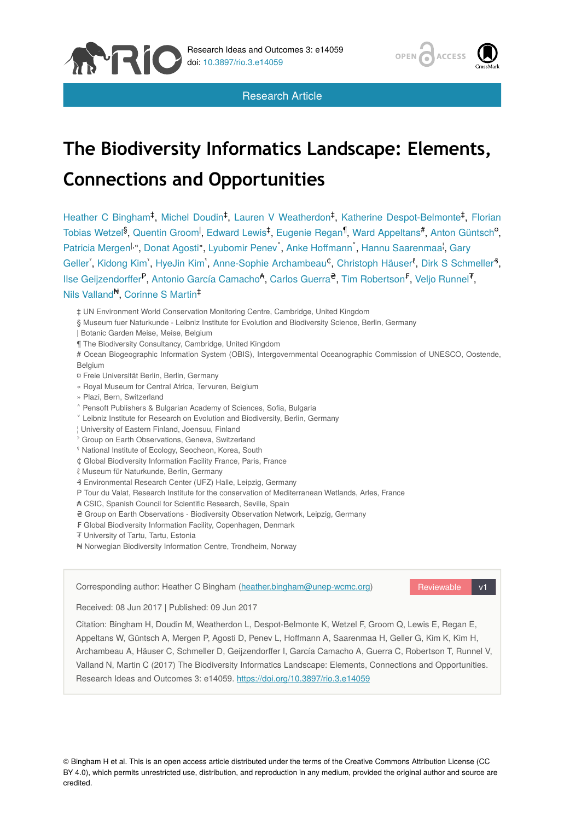



Research Article

# **The Biodiversity Informatics Landscape: Elements, Connections and Opportunities**

Heather C Bingham<sup>‡</sup>, Michel Doudin<sup>‡</sup>, Lauren V Weatherdon<sup>‡</sup>, Katherine Despot-Belmonte<sup>‡</sup>, Florian Tobias Wetzel<sup>§</sup>, Quentin Groom<sup>I</sup>, Edward Lewis<sup>‡</sup>, Eugenie Regan<sup>¶</sup>, Ward Appeltans<sup>#</sup>, Anton Güntsch<sup>a</sup>, Patricia Mergen<sup>l, «</sup>, Donat Agosti», Lyubomir Penev<sup>®</sup>, Anke Hoffmann<sup>3</sup>, Hannu Saarenmaa<sup>1</sup>, Gary Geller', Kidong Kim<sup>'</sup>, HyeJin Kim<sup>'</sup>, Anne-Sophie Archambeau<sup>¢</sup>, Christoph Häuser<sup>8</sup>, Dirk S Schmeller<sup>4</sup>, Ilse Geijzendorffer<sup>P</sup>, Antonio García Camacho<sup><del>A</del></sup>, Carlos Guerra<sup>e</sup>, Tim Robertson<sup>F</sup>, Veljo Runnel<sup>7</sup>, Nils Valland<sup>N</sup>, Corinne S Martin<sup>t</sup>

‡ UN Environment World Conservation Monitoring Centre, Cambridge, United Kingdom

§ Museum fuer Naturkunde - Leibniz Institute for Evolution and Biodiversity Science, Berlin, Germany

| Botanic Garden Meise, Meise, Belgium

¶ The Biodiversity Consultancy, Cambridge, United Kingdom

# Ocean Biogeographic Information System (OBIS), Intergovernmental Oceanographic Commission of UNESCO, Oostende, **Belgium** 

¤ Freie Universität Berlin, Berlin, Germany

- « Royal Museum for Central Africa, Tervuren, Belgium
- » Plazi, Bern, Switzerland
- ˄ Pensoft Publishers & Bulgarian Academy of Sciences, Sofia, Bulgaria
- ˅ Leibniz Institute for Research on Evolution and Biodiversity, Berlin, Germany
- ¦ University of Eastern Finland, Joensuu, Finland
- ˀ Group on Earth Observations, Geneva, Switzerland
- ˁ National Institute of Ecology, Seocheon, Korea, South
- ₵ Global Biodiversity Information Facility France, Paris, France
- ℓ Museum für Naturkunde, Berlin, Germany

₰ Environmental Research Center (UFZ) Halle, Leipzig, Germany

- P Tour du Valat, Research Institute for the conservation of Mediterranean Wetlands, Arles, France
- ₳ CSIC, Spanish Council for Scientific Research, Seville, Spain
- ₴ Group on Earth Observations Biodiversity Observation Network, Leipzig, Germany
- ₣ Global Biodiversity Information Facility, Copenhagen, Denmark
- ₮ University of Tartu, Tartu, Estonia
- ₦ Norwegian Biodiversity Information Centre, Trondheim, Norway

Reviewable v1 Corresponding author: Heather C Bingham ([heather.bingham@unep-wcmc.org\)](mailto:heather.bingham@unep-wcmc.org)

Received: 08 Jun 2017 | Published: 09 Jun 2017

Citation: Bingham H, Doudin M, Weatherdon L, Despot-Belmonte K, Wetzel F, Groom Q, Lewis E, Regan E, Appeltans W, Güntsch A, Mergen P, Agosti D, Penev L, Hoffmann A, Saarenmaa H, Geller G, Kim K, Kim H, Archambeau A, Häuser C, Schmeller D, Geijzendorffer I, García Camacho A, Guerra C, Robertson T, Runnel V, Valland N, Martin C (2017) The Biodiversity Informatics Landscape: Elements, Connections and Opportunities. Research Ideas and Outcomes 3: e14059.<https://doi.org/10.3897/rio.3.e14059>

© Bingham H et al. This is an open access article distributed under the terms of the Creative Commons Attribution License (CC BY 4.0), which permits unrestricted use, distribution, and reproduction in any medium, provided the original author and source are credited.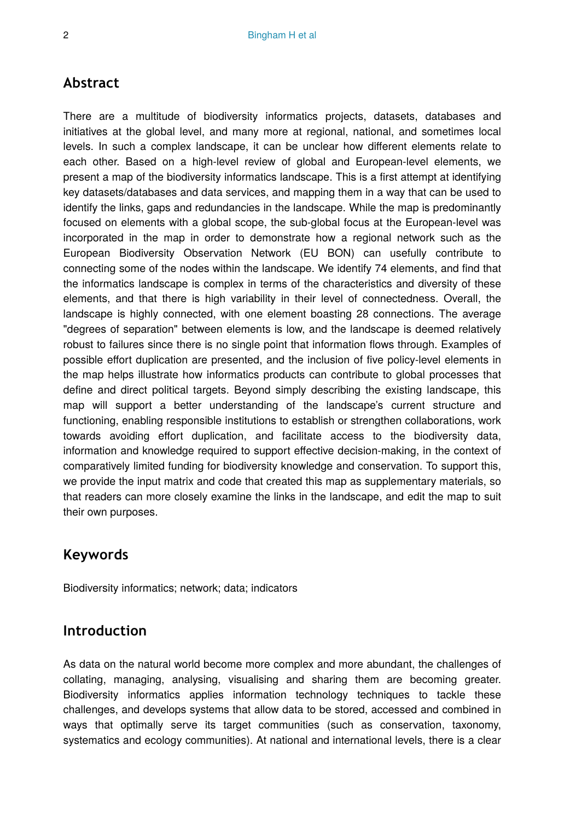# **Abstract**

There are a multitude of biodiversity informatics projects, datasets, databases and initiatives at the global level, and many more at regional, national, and sometimes local levels. In such a complex landscape, it can be unclear how different elements relate to each other. Based on a high-level review of global and European-level elements, we present a map of the biodiversity informatics landscape. This is a first attempt at identifying key datasets/databases and data services, and mapping them in a way that can be used to identify the links, gaps and redundancies in the landscape. While the map is predominantly focused on elements with a global scope, the sub-global focus at the European-level was incorporated in the map in order to demonstrate how a regional network such as the European Biodiversity Observation Network (EU BON) can usefully contribute to connecting some of the nodes within the landscape. We identify 74 elements, and find that the informatics landscape is complex in terms of the characteristics and diversity of these elements, and that there is high variability in their level of connectedness. Overall, the landscape is highly connected, with one element boasting 28 connections. The average "degrees of separation" between elements is low, and the landscape is deemed relatively robust to failures since there is no single point that information flows through. Examples of possible effort duplication are presented, and the inclusion of five policy-level elements in the map helps illustrate how informatics products can contribute to global processes that define and direct political targets. Beyond simply describing the existing landscape, this map will support a better understanding of the landscape's current structure and functioning, enabling responsible institutions to establish or strengthen collaborations, work towards avoiding effort duplication, and facilitate access to the biodiversity data, information and knowledge required to support effective decision-making, in the context of comparatively limited funding for biodiversity knowledge and conservation. To support this, we provide the input matrix and code that created this map as supplementary materials, so that readers can more closely examine the links in the landscape, and edit the map to suit their own purposes.

# **Keywords**

Biodiversity informatics; network; data; indicators

# **Introduction**

As data on the natural world become more complex and more abundant, the challenges of collating, managing, analysing, visualising and sharing them are becoming greater. Biodiversity informatics applies information technology techniques to tackle these challenges, and develops systems that allow data to be stored, accessed and combined in ways that optimally serve its target communities (such as conservation, taxonomy, systematics and ecology communities). At national and international levels, there is a clear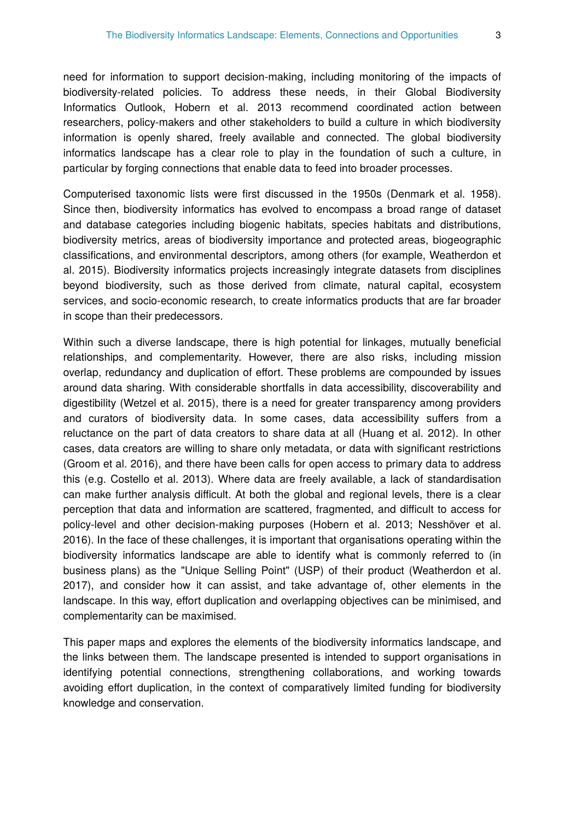need for information to support decision-making, including monitoring of the impacts of biodiversity-related policies. To address these needs, in their Global Biodiversity Informatics Outlook, Hobern et al. 2013 recommend coordinated action between researchers, policy-makers and other stakeholders to build a culture in which biodiversity information is openly shared, freely available and connected. The global biodiversity informatics landscape has a clear role to play in the foundation of such a culture, in particular by forging connections that enable data to feed into broader processes.

Computerised taxonomic lists were first discussed in the 1950s (Denmark et al. 1958). Since then, biodiversity informatics has evolved to encompass a broad range of dataset and database categories including biogenic habitats, species habitats and distributions, biodiversity metrics, areas of biodiversity importance and protected areas, biogeographic classifications, and environmental descriptors, among others (for example, Weatherdon et al. 2015). Biodiversity informatics projects increasingly integrate datasets from disciplines beyond biodiversity, such as those derived from climate, natural capital, ecosystem services, and socio-economic research, to create informatics products that are far broader in scope than their predecessors.

Within such a diverse landscape, there is high potential for linkages, mutually beneficial relationships, and complementarity. However, there are also risks, including mission overlap, redundancy and duplication of effort. These problems are compounded by issues around data sharing. With considerable shortfalls in data accessibility, discoverability and digestibility (Wetzel et al. 2015), there is a need for greater transparency among providers and curators of biodiversity data. In some cases, data accessibility suffers from a reluctance on the part of data creators to share data at all (Huang et al. 2012). In other cases, data creators are willing to share only metadata, or data with significant restrictions (Groom et al. 2016), and there have been calls for open access to primary data to address this (e.g. Costello et al. 2013). Where data are freely available, a lack of standardisation can make further analysis difficult. At both the global and regional levels, there is a clear perception that data and information are scattered, fragmented, and difficult to access for policy-level and other decision-making purposes (Hobern et al. 2013; Nesshöver et al. 2016). In the face of these challenges, it is important that organisations operating within the biodiversity informatics landscape are able to identify what is commonly referred to (in business plans) as the "Unique Selling Point" (USP) of their product (Weatherdon et al. 2017), and consider how it can assist, and take advantage of, other elements in the landscape. In this way, effort duplication and overlapping objectives can be minimised, and complementarity can be maximised.

This paper maps and explores the elements of the biodiversity informatics landscape, and the links between them. The landscape presented is intended to support organisations in identifying potential connections, strengthening collaborations, and working towards avoiding effort duplication, in the context of comparatively limited funding for biodiversity knowledge and conservation.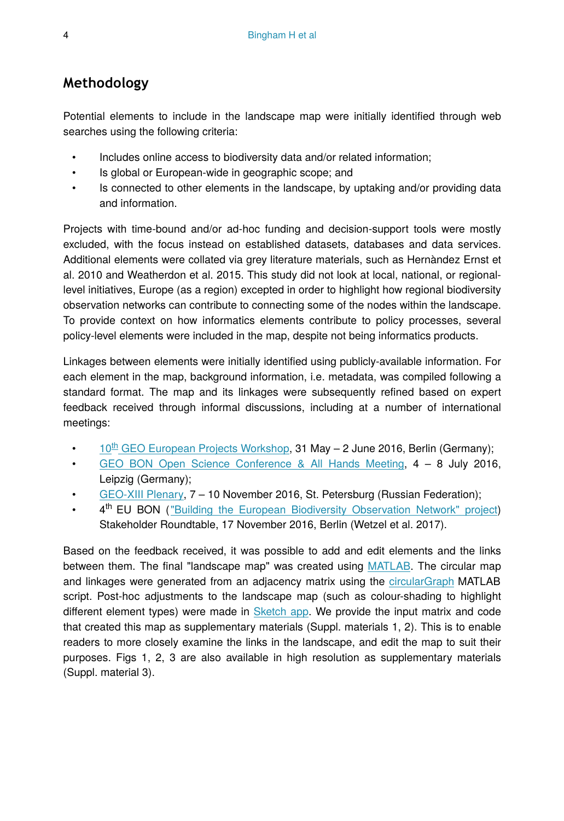# **Methodology**

Potential elements to include in the landscape map were initially identified through web searches using the following criteria:

- Includes online access to biodiversity data and/or related information;
- Is global or European-wide in geographic scope; and
- Is connected to other elements in the landscape, by uptaking and/or providing data and information.

Projects with time-bound and/or ad-hoc funding and decision-support tools were mostly excluded, with the focus instead on established datasets, databases and data services. Additional elements were collated via grey literature materials, such as Hernàndez Ernst et al. 2010 and Weatherdon et al. 2015. This study did not look at local, national, or regionallevel initiatives, Europe (as a region) excepted in order to highlight how regional biodiversity observation networks can contribute to connecting some of the nodes within the landscape. To provide context on how informatics elements contribute to policy processes, several policy-level elements were included in the map, despite not being informatics products.

Linkages between elements were initially identified using publicly-available information. For each element in the map, background information, i.e. metadata, was compiled following a standard format. The map and its linkages were subsequently refined based on expert feedback received through informal discussions, including at a number of international meetings:

- $10^{\text{th}}$  GEO European Projects Workshop, 31 May 2 June 2016, Berlin (Germany);
- [GEO BON Open Science Conference & All Hands Meeting](http://conf2016.geobon.org/), 4 8 July 2016, Leipzig (Germany);
- [GEO-XIII Plenary](https://www.earthobservations.org/geo13.php), 7 10 November 2016, St. Petersburg (Russian Federation);
- 4<sup>th</sup> EU BON (["Building the European Biodiversity Observation Network" project](http://eubon.eu)) Stakeholder Roundtable, 17 November 2016, Berlin (Wetzel et al. 2017).

Based on the feedback received, it was possible to add and edit elements and the links between them. The final "landscape map" was created using [MATLAB](https://www.mathworks.com/products/matlab.html). The circular map and linkages were generated from an adjacency matrix using the [circularGraph](https://uk.mathworks.com/matlabcentral/fileexchange/48576-circulargraph) MATLAB script. Post-hoc adjustments to the landscape map (such as colour-shading to highlight different element types) were made in [Sketch app.](https://www.sketchapp.com/) We provide the input matrix and code that created this map as supplementary materials (Suppl. materials 1, 2). This is to enable readers to more closely examine the links in the landscape, and edit the map to suit their purposes. Figs 1, 2, 3 are also available in high resolution as supplementary materials (Suppl. material 3).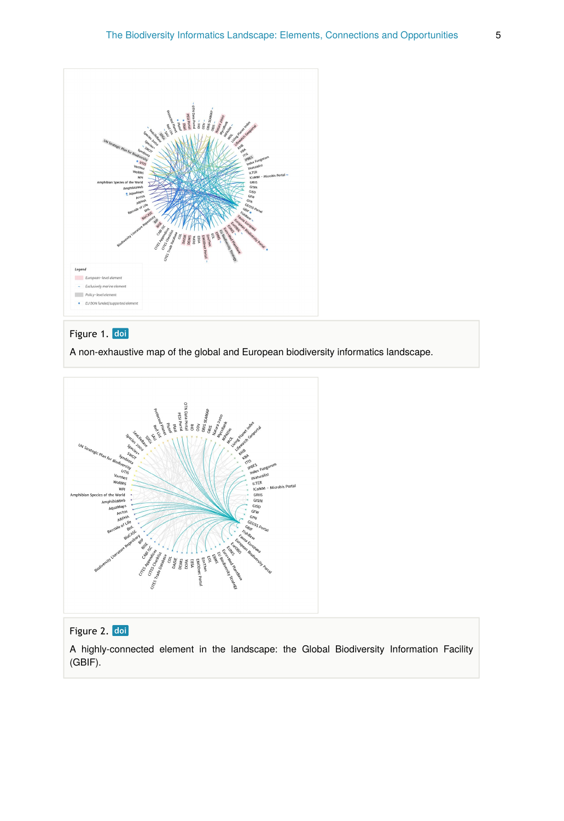

# Figure 1. doi

A non-exhaustive map of the global and European biodiversity informatics landscape.



# Figure 2. doi

A highly-connected element in the landscape: the Global Biodiversity Information Facility (GBIF).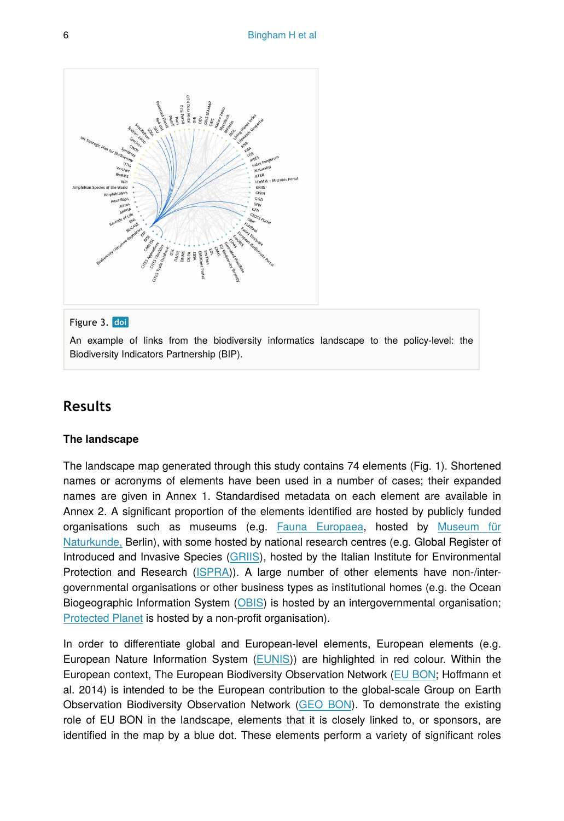

### Figure 3. doi

An example of links from the biodiversity informatics landscape to the policy-level: the Biodiversity Indicators Partnership (BIP).

# **Results**

#### **The landscape**

The landscape map generated through this study contains 74 elements (Fig. 1). Shortened names or acronyms of elements have been used in a number of cases; their expanded names are given in Annex 1. Standardised metadata on each element are available in Annex 2. A significant proportion of the elements identified are hosted by publicly funded organisations such as museums (e.g. [Fauna Europaea](http://www.fauna-eu.org/), hosted by [Museum für](https://www.naturkundemuseum.berlin/en) [Naturkunde,](https://www.naturkundemuseum.berlin/en) Berlin), with some hosted by national research centres (e.g. Global Register of Introduced and Invasive Species ([GRIIS](http://www.griis.org/)), hosted by the Italian Institute for Environmental Protection and Research ([ISPRA\)](http://www.isprambiente.gov.it/en)). A large number of other elements have non-/intergovernmental organisations or other business types as institutional homes (e.g. the Ocean Biogeographic Information System ([OBIS](http://www.iobis.org/)) is hosted by an intergovernmental organisation; [Protected Planet](https://protectedplanet.net/) is hosted by a non-profit organisation).

In order to differentiate global and European-level elements, European elements (e.g. European Nature Information System ([EUNIS](https://eunis.eea.europa.eu/))) are highlighted in red colour. Within the European context, The European Biodiversity Observation Network [\(EU BON](http://www.eubon.eu/); Hoffmann et al. 2014) is intended to be the European contribution to the global-scale Group on Earth Observation Biodiversity Observation Network ([GEO BON](http://geobon.org/)). To demonstrate the existing role of EU BON in the landscape, elements that it is closely linked to, or sponsors, are identified in the map by a blue dot. These elements perform a variety of significant roles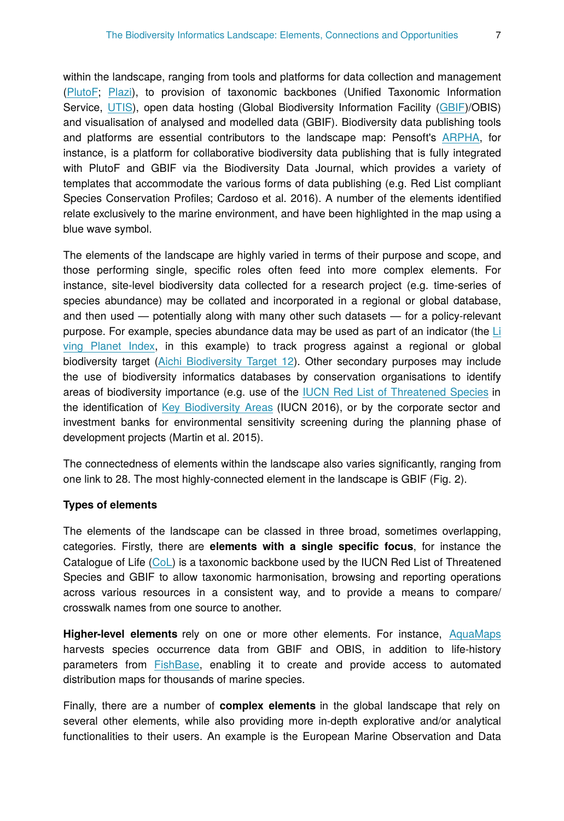within the landscape, ranging from tools and platforms for data collection and management [\(PlutoF](https://plutof.ut.ee/); [Plazi](http://plazi.org/)), to provision of taxonomic backbones (Unified Taxonomic Information Service, [UTIS\)](https://cybertaxonomy.eu/eu-bon/utis/1.0/), open data hosting (Global Biodiversity Information Facility [\(GBIF](http://www.gbif.org))/OBIS) and visualisation of analysed and modelled data (GBIF). Biodiversity data publishing tools and platforms are essential contributors to the landscape map: Pensoft's [ARPHA](https://arpha.pensoft.net/), for instance, is a platform for collaborative biodiversity data publishing that is fully integrated with PlutoF and GBIF via the Biodiversity Data Journal, which provides a variety of templates that accommodate the various forms of data publishing (e.g. Red List compliant Species Conservation Profiles; Cardoso et al. 2016). A number of the elements identified relate exclusively to the marine environment, and have been highlighted in the map using a blue wave symbol.

The elements of the landscape are highly varied in terms of their purpose and scope, and those performing single, specific roles often feed into more complex elements. For instance, site-level biodiversity data collected for a research project (e.g. time-series of species abundance) may be collated and incorporated in a regional or global database, and then used — potentially along with many other such datasets — for a policy-relevant purpose. For example, species abundance data may be used as part of an indicator (the [Li](https://www.bipindicators.net/indicators/living-planet-index) [ving Planet Index](https://www.bipindicators.net/indicators/living-planet-index), in this example) to track progress against a regional or global biodiversity target [\(Aichi Biodiversity Target 12](https://www.cbd.int/sp/targets/rationale/target-12/)). Other secondary purposes may include the use of biodiversity informatics databases by conservation organisations to identify areas of biodiversity importance (e.g. use of the [IUCN Red List of Threatened Species](http://www.iucnredlist.org/) in the identification of [Key Biodiversity Areas](http://www.keybiodiversityareas.org/) (IUCN 2016), or by the corporate sector and investment banks for environmental sensitivity screening during the planning phase of development projects (Martin et al. 2015).

The connectedness of elements within the landscape also varies significantly, ranging from one link to 28. The most highly-connected element in the landscape is GBIF (Fig. 2).

#### **Types of elements**

The elements of the landscape can be classed in three broad, sometimes overlapping, categories. Firstly, there are **elements with a single specific focus**, for instance the Catalogue of Life [\(CoL\)](http://www.catalogueoflife.org/) is a taxonomic backbone used by the IUCN Red List of Threatened Species and GBIF to allow taxonomic harmonisation, browsing and reporting operations across various resources in a consistent way, and to provide a means to compare/ crosswalk names from one source to another.

**Higher-level elements** rely on one or more other elements. For instance, [AquaMaps](http://www.aquamaps.org/) harvests species occurrence data from GBIF and OBIS, in addition to life-history parameters from [FishBase](http://www.fishbase.org/), enabling it to create and provide access to automated distribution maps for thousands of marine species.

Finally, there are a number of **complex elements** in the global landscape that rely on several other elements, while also providing more in-depth explorative and/or analytical functionalities to their users. An example is the European Marine Observation and Data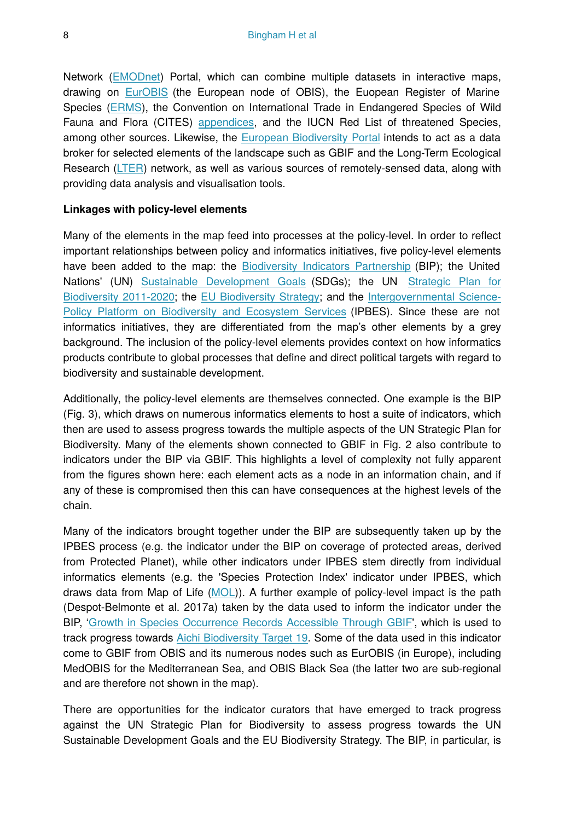Network [\(EMODnet\)](http://www.emodnet.eu/) Portal, which can combine multiple datasets in interactive maps, drawing on [EurOBIS](http://www.eurobis.eu/) (the European node of OBIS), the Euopean Register of Marine Species [\(ERMS](http://www.marbef.org/data/erms.php)), the Convention on International Trade in Endangered Species of Wild Fauna and Flora (CITES) [appendices](https://www.cites.org/eng/app/index.php), and the IUCN Red List of threatened Species, among other sources. Likewise, the [European Biodiversity Portal](http://biodiversity.eubon.eu) intends to act as a data broker for selected elements of the landscape such as GBIF and the Long-Term Ecological Research ([LTER\)](https://lternet.edu/) network, as well as various sources of remotely-sensed data, along with providing data analysis and visualisation tools.

### **Linkages with policy-level elements**

Many of the elements in the map feed into processes at the policy-level. In order to reflect important relationships between policy and informatics initiatives, five policy-level elements have been added to the map: the [Biodiversity Indicators Partnership](https://www.bipindicators.net) (BIP); the United Nations' (UN) [Sustainable Development Goals](http://www.un.org/sustainabledevelopment/sustainable-development-goals) (SDGs); the UN [Strategic Plan for](https://www.cbd.int/sp/) [Biodiversity 2011-2020;](https://www.cbd.int/sp/) the [EU Biodiversity Strategy;](http://ec.europa.eu/environment/nature/biodiversity/strategy/index_en.htm) and the [Intergovernmental Science-](http://www.ipbes.net)[Policy Platform on Biodiversity and Ecosystem Services](http://www.ipbes.net) (IPBES). Since these are not informatics initiatives, they are differentiated from the map's other elements by a grey background. The inclusion of the policy-level elements provides context on how informatics products contribute to global processes that define and direct political targets with regard to biodiversity and sustainable development.

Additionally, the policy-level elements are themselves connected. One example is the BIP (Fig. 3), which draws on numerous informatics elements to host a suite of indicators, which then are used to assess progress towards the multiple aspects of the UN Strategic Plan for Biodiversity. Many of the elements shown connected to GBIF in Fig. 2 also contribute to indicators under the BIP via GBIF. This highlights a level of complexity not fully apparent from the figures shown here: each element acts as a node in an information chain, and if any of these is compromised then this can have consequences at the highest levels of the chain.

Many of the indicators brought together under the BIP are subsequently taken up by the IPBES process (e.g. the indicator under the BIP on coverage of protected areas, derived from Protected Planet), while other indicators under IPBES stem directly from individual informatics elements (e.g. the 'Species Protection Index' indicator under IPBES, which draws data from Map of Life [\(MOL\)](https://mol.org/)). A further example of policy-level impact is the path (Despot-Belmonte et al. 2017a) taken by the data used to inform the indicator under the BIP, '[Growth in Species Occurrence Records Accessible Through GBIF'](https://www.bipindicators.net/indicators/growth-in-species-occurrence-records-accessible-through-gbif), which is used to track progress towards [Aichi Biodiversity Target 19](https://www.cbd.int/sp/targets/rationale/target-19). Some of the data used in this indicator come to GBIF from OBIS and its numerous nodes such as EurOBIS (in Europe), including MedOBIS for the Mediterranean Sea, and OBIS Black Sea (the latter two are sub-regional and are therefore not shown in the map).

There are opportunities for the indicator curators that have emerged to track progress against the UN Strategic Plan for Biodiversity to assess progress towards the UN Sustainable Development Goals and the EU Biodiversity Strategy. The BIP, in particular, is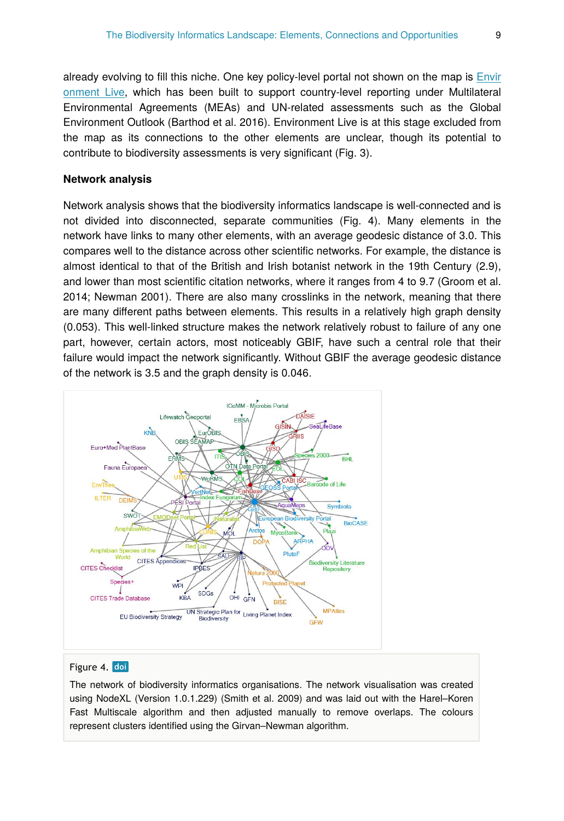already evolving to fill this niche. One key policy-level portal not shown on the map is [Envir](https://uneplive.unep.org/) [onment Live](https://uneplive.unep.org/), which has been built to support country-level reporting under Multilateral Environmental Agreements (MEAs) and UN-related assessments such as the Global Environment Outlook (Barthod et al. 2016). Environment Live is at this stage excluded from the map as its connections to the other elements are unclear, though its potential to contribute to biodiversity assessments is very significant (Fig. 3).

#### **Network analysis**

Network analysis shows that the biodiversity informatics landscape is well-connected and is not divided into disconnected, separate communities (Fig. 4). Many elements in the network have links to many other elements, with an average geodesic distance of 3.0. This compares well to the distance across other scientific networks. For example, the distance is almost identical to that of the British and Irish botanist network in the 19th Century (2.9), and lower than most scientific citation networks, where it ranges from 4 to 9.7 (Groom et al. 2014; Newman 2001). There are also many crosslinks in the network, meaning that there are many different paths between elements. This results in a relatively high graph density (0.053). This well-linked structure makes the network relatively robust to failure of any one part, however, certain actors, most noticeably GBIF, have such a central role that their failure would impact the network significantly. Without GBIF the average geodesic distance of the network is 3.5 and the graph density is 0.046.



### Figure 4. doi

The network of biodiversity informatics organisations. The network visualisation was created using NodeXL (Version 1.0.1.229) (Smith et al. 2009) and was laid out with the Harel–Koren Fast Multiscale algorithm and then adjusted manually to remove overlaps. The colours represent clusters identified using the Girvan–Newman algorithm.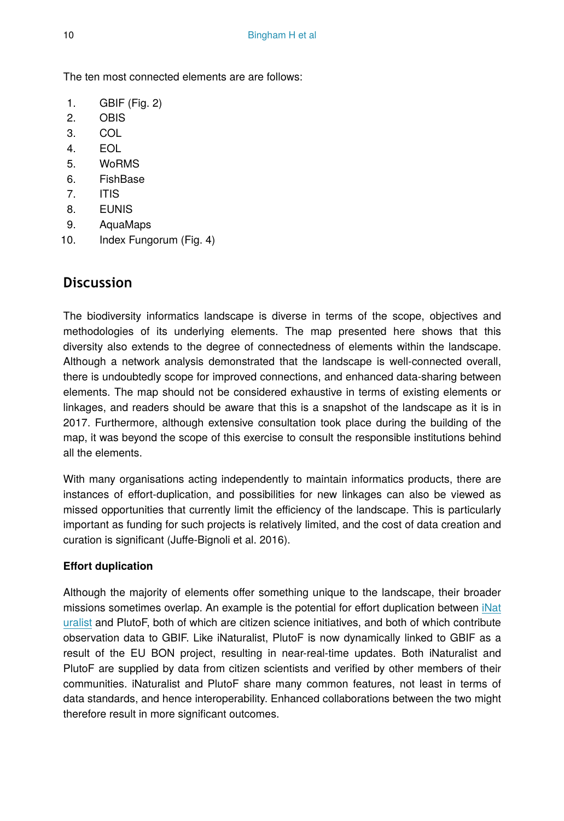The ten most connected elements are are follows:

- 1. GBIF (Fig. 2)
- 2. OBIS
- 3. COL
- 4. EOL
- 5. WoRMS
- 6. FishBase
- 7. ITIS
- 8. EUNIS
- 9. AquaMaps
- 10. Index Fungorum (Fig. 4)

# **Discussion**

The biodiversity informatics landscape is diverse in terms of the scope, objectives and methodologies of its underlying elements. The map presented here shows that this diversity also extends to the degree of connectedness of elements within the landscape. Although a network analysis demonstrated that the landscape is well-connected overall, there is undoubtedly scope for improved connections, and enhanced data-sharing between elements. The map should not be considered exhaustive in terms of existing elements or linkages, and readers should be aware that this is a snapshot of the landscape as it is in 2017. Furthermore, although extensive consultation took place during the building of the map, it was beyond the scope of this exercise to consult the responsible institutions behind all the elements.

With many organisations acting independently to maintain informatics products, there are instances of effort-duplication, and possibilities for new linkages can also be viewed as missed opportunities that currently limit the efficiency of the landscape. This is particularly important as funding for such projects is relatively limited, and the cost of data creation and curation is significant (Juffe-Bignoli et al. 2016).

### **Effort duplication**

Although the majority of elements offer something unique to the landscape, their broader missions sometimes overlap. An example is the potential for effort duplication between [iNat](https://www.inaturalist.org/) [uralist](https://www.inaturalist.org/) and PlutoF, both of which are citizen science initiatives, and both of which contribute observation data to GBIF. Like iNaturalist, PlutoF is now dynamically linked to GBIF as a result of the EU BON project, resulting in near-real-time updates. Both iNaturalist and PlutoF are supplied by data from citizen scientists and verified by other members of their communities. iNaturalist and PlutoF share many common features, not least in terms of data standards, and hence interoperability. Enhanced collaborations between the two might therefore result in more significant outcomes.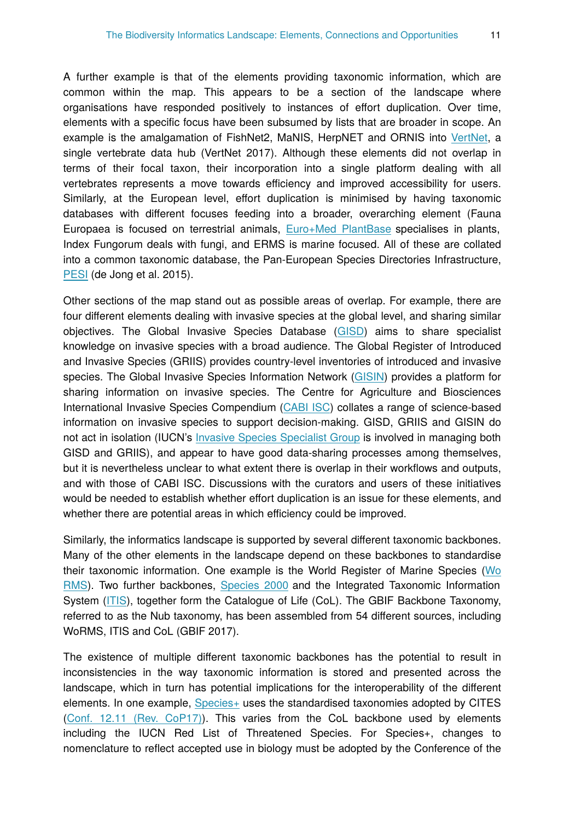A further example is that of the elements providing taxonomic information, which are common within the map. This appears to be a section of the landscape where organisations have responded positively to instances of effort duplication. Over time, elements with a specific focus have been subsumed by lists that are broader in scope. An example is the amalgamation of FishNet2, MaNIS, HerpNET and ORNIS into [VertNet](http://vertnet.org/), a single vertebrate data hub (VertNet 2017). Although these elements did not overlap in terms of their focal taxon, their incorporation into a single platform dealing with all vertebrates represents a move towards efficiency and improved accessibility for users. Similarly, at the European level, effort duplication is minimised by having taxonomic databases with different focuses feeding into a broader, overarching element (Fauna Europaea is focused on terrestrial animals, [Euro+Med PlantBase](http://www.emplantbase.org/) specialises in plants, Index Fungorum deals with fungi, and ERMS is marine focused. All of these are collated into a common taxonomic database, the Pan-European Species Directories Infrastructure, [PESI](http://www.eu-nomen.eu/portal/) (de Jong et al. 2015).

Other sections of the map stand out as possible areas of overlap. For example, there are four different elements dealing with invasive species at the global level, and sharing similar objectives. The Global Invasive Species Database ([GISD\)](http://www.iucngisd.org/) aims to share specialist knowledge on invasive species with a broad audience. The Global Register of Introduced and Invasive Species (GRIIS) provides country-level inventories of introduced and invasive species. The Global Invasive Species Information Network ([GISIN](http://www.gisin.org/)) provides a platform for sharing information on invasive species. The Centre for Agriculture and Biosciences International Invasive Species Compendium ([CABI ISC\)](http://www.cabi.org/isc/) collates a range of science-based information on invasive species to support decision-making. GISD, GRIIS and GISIN do not act in isolation (IUCN's [Invasive Species Specialist Group](http://www.issg.org) is involved in managing both GISD and GRIIS), and appear to have good data-sharing processes among themselves, but it is nevertheless unclear to what extent there is overlap in their workflows and outputs, and with those of CABI ISC. Discussions with the curators and users of these initiatives would be needed to establish whether effort duplication is an issue for these elements, and whether there are potential areas in which efficiency could be improved.

Similarly, the informatics landscape is supported by several different taxonomic backbones. Many of the other elements in the landscape depend on these backbones to standardise their taxonomic information. One example is the World Register of Marine Species [\(Wo](http://www.marinespecies.org) [RMS](http://www.marinespecies.org)). Two further backbones, [Species 2000](http://www.sp2000.org/) and the Integrated Taxonomic Information System [\(ITIS\)](https://www.itis.gov/), together form the Catalogue of Life (CoL). The GBIF Backbone Taxonomy, referred to as the Nub taxonomy, has been assembled from 54 different sources, including WoRMS, ITIS and CoL (GBIF 2017).

The existence of multiple different taxonomic backbones has the potential to result in inconsistencies in the way taxonomic information is stored and presented across the landscape, which in turn has potential implications for the interoperability of the different elements. In one example, [Species+](https://www.speciesplus.net/) uses the standardised taxonomies adopted by CITES [\(Conf. 12.11 \(Rev. CoP17\)](https://www.cites.org/eng/res/12/12-11R17.php)). This varies from the CoL backbone used by elements including the IUCN Red List of Threatened Species. For Species+, changes to nomenclature to reflect accepted use in biology must be adopted by the Conference of the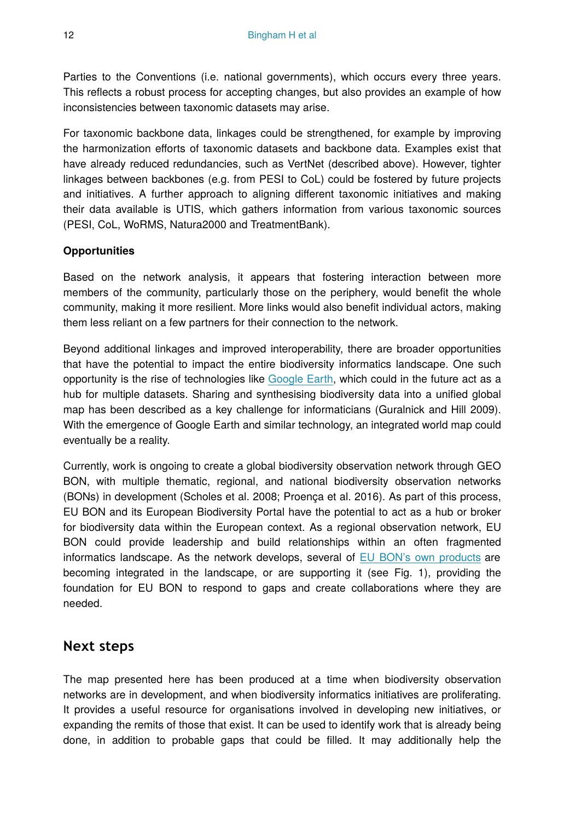Parties to the Conventions (i.e. national governments), which occurs every three years. This reflects a robust process for accepting changes, but also provides an example of how inconsistencies between taxonomic datasets may arise.

For taxonomic backbone data, linkages could be strengthened, for example by improving the harmonization efforts of taxonomic datasets and backbone data. Examples exist that have already reduced redundancies, such as VertNet (described above). However, tighter linkages between backbones (e.g. from PESI to CoL) could be fostered by future projects and initiatives. A further approach to aligning different taxonomic initiatives and making their data available is UTIS, which gathers information from various taxonomic sources (PESI, CoL, WoRMS, Natura2000 and TreatmentBank).

### **Opportunities**

Based on the network analysis, it appears that fostering interaction between more members of the community, particularly those on the periphery, would benefit the whole community, making it more resilient. More links would also benefit individual actors, making them less reliant on a few partners for their connection to the network.

Beyond additional linkages and improved interoperability, there are broader opportunities that have the potential to impact the entire biodiversity informatics landscape. One such opportunity is the rise of technologies like [Google Earth](https://www.google.co.uk/earth), which could in the future act as a hub for multiple datasets. Sharing and synthesising biodiversity data into a unified global map has been described as a key challenge for informaticians (Guralnick and Hill 2009). With the emergence of Google Earth and similar technology, an integrated world map could eventually be a reality.

Currently, work is ongoing to create a global biodiversity observation network through GEO BON, with multiple thematic, regional, and national biodiversity observation networks (BONs) in development (Scholes et al. 2008; Proença et al. 2016). As part of this process, EU BON and its European Biodiversity Portal have the potential to act as a hub or broker for biodiversity data within the European context. As a regional observation network, EU BON could provide leadership and build relationships within an often fragmented informatics landscape. As the network develops, several of [EU BON's own products](http://biodiversity.eubon.eu/products) are becoming integrated in the landscape, or are supporting it (see Fig. 1), providing the foundation for EU BON to respond to gaps and create collaborations where they are needed.

# **Next steps**

The map presented here has been produced at a time when biodiversity observation networks are in development, and when biodiversity informatics initiatives are proliferating. It provides a useful resource for organisations involved in developing new initiatives, or expanding the remits of those that exist. It can be used to identify work that is already being done, in addition to probable gaps that could be filled. It may additionally help the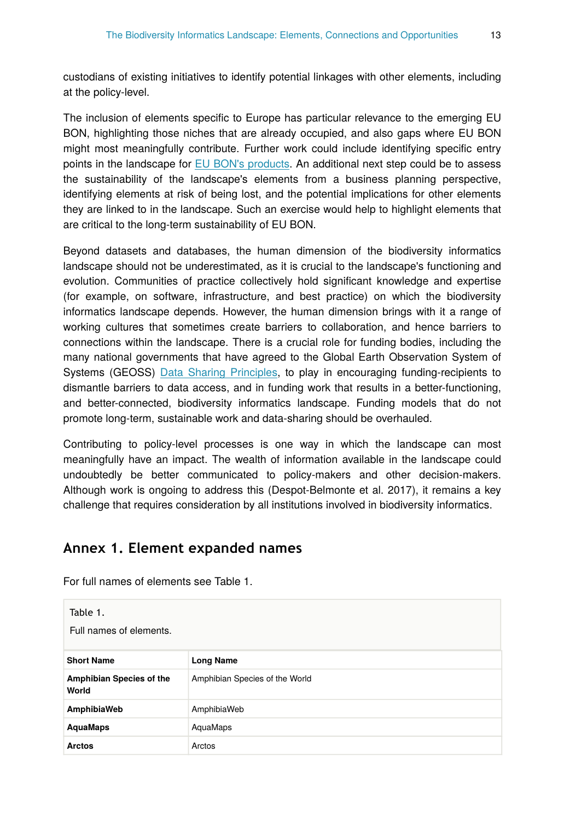custodians of existing initiatives to identify potential linkages with other elements, including at the policy-level.

The inclusion of elements specific to Europe has particular relevance to the emerging EU BON, highlighting those niches that are already occupied, and also gaps where EU BON might most meaningfully contribute. Further work could include identifying specific entry points in the landscape for [EU BON's products.](http://biodiversity.eubon.eu/products) An additional next step could be to assess the sustainability of the landscape's elements from a business planning perspective, identifying elements at risk of being lost, and the potential implications for other elements they are linked to in the landscape. Such an exercise would help to highlight elements that are critical to the long-term sustainability of EU BON.

Beyond datasets and databases, the human dimension of the biodiversity informatics landscape should not be underestimated, as it is crucial to the landscape's functioning and evolution. Communities of practice collectively hold significant knowledge and expertise (for example, on software, infrastructure, and best practice) on which the biodiversity informatics landscape depends. However, the human dimension brings with it a range of working cultures that sometimes create barriers to collaboration, and hence barriers to connections within the landscape. There is a crucial role for funding bodies, including the many national governments that have agreed to the Global Earth Observation System of Systems (GEOSS) [Data Sharing Principles,](https://www.earthobservations.org/geoss_dsp.shtml) to play in encouraging funding-recipients to dismantle barriers to data access, and in funding work that results in a better-functioning, and better-connected, biodiversity informatics landscape. Funding models that do not promote long-term, sustainable work and data-sharing should be overhauled.

Contributing to policy-level processes is one way in which the landscape can most meaningfully have an impact. The wealth of information available in the landscape could undoubtedly be better communicated to policy-makers and other decision-makers. Although work is ongoing to address this (Despot-Belmonte et al. 2017), it remains a key challenge that requires consideration by all institutions involved in biodiversity informatics.

# **Annex 1. Element expanded names**

| Table 1.<br>Full names of elements. |                                |  |
|-------------------------------------|--------------------------------|--|
| <b>Short Name</b>                   | <b>Long Name</b>               |  |
| Amphibian Species of the<br>World   | Amphibian Species of the World |  |
| AmphibiaWeb                         | AmphibiaWeb                    |  |
| <b>AquaMaps</b>                     | AquaMaps                       |  |
| Arctos                              | Arctos                         |  |

For full names of elements see Table 1.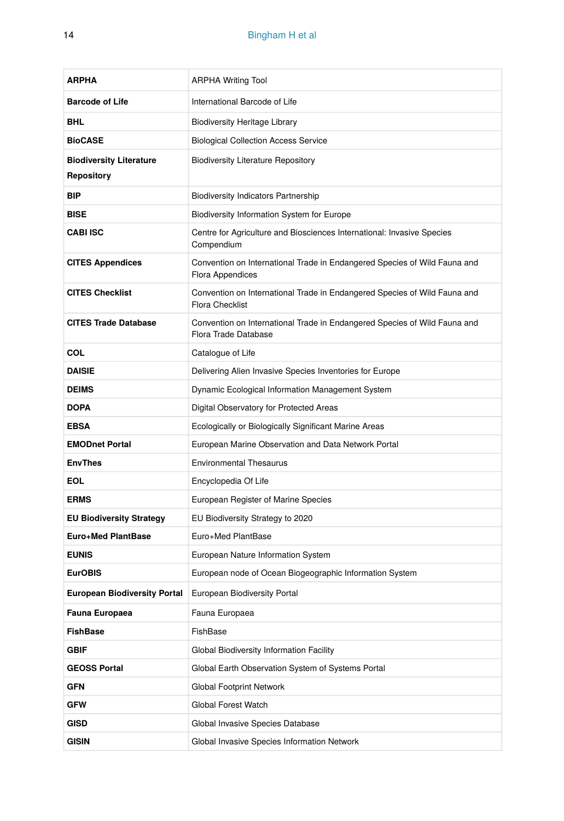| <b>ARPHA</b>                                 | <b>ARPHA Writing Tool</b>                                                                           |
|----------------------------------------------|-----------------------------------------------------------------------------------------------------|
| <b>Barcode of Life</b>                       | International Barcode of Life                                                                       |
| <b>BHL</b>                                   | <b>Biodiversity Heritage Library</b>                                                                |
| <b>BioCASE</b>                               | <b>Biological Collection Access Service</b>                                                         |
| <b>Biodiversity Literature</b><br>Repository | <b>Biodiversity Literature Repository</b>                                                           |
| <b>BIP</b>                                   | Biodiversity Indicators Partnership                                                                 |
| <b>BISE</b>                                  | Biodiversity Information System for Europe                                                          |
| <b>CABLISC</b>                               | Centre for Agriculture and Biosciences International: Invasive Species<br>Compendium                |
| <b>CITES Appendices</b>                      | Convention on International Trade in Endangered Species of Wild Fauna and<br>Flora Appendices       |
| <b>CITES Checklist</b>                       | Convention on International Trade in Endangered Species of Wild Fauna and<br><b>Flora Checklist</b> |
| <b>CITES Trade Database</b>                  | Convention on International Trade in Endangered Species of Wild Fauna and<br>Flora Trade Database   |
| COL                                          | Catalogue of Life                                                                                   |
| <b>DAISIE</b>                                | Delivering Alien Invasive Species Inventories for Europe                                            |
| <b>DEIMS</b>                                 | Dynamic Ecological Information Management System                                                    |
| <b>DOPA</b>                                  | Digital Observatory for Protected Areas                                                             |
| <b>EBSA</b>                                  | Ecologically or Biologically Significant Marine Areas                                               |
| <b>EMODnet Portal</b>                        | European Marine Observation and Data Network Portal                                                 |
| <b>EnvThes</b>                               | <b>Environmental Thesaurus</b>                                                                      |
| EOL                                          | Encyclopedia Of Life                                                                                |
| <b>ERMS</b>                                  | European Register of Marine Species                                                                 |
| <b>EU Biodiversity Strategy</b>              | EU Biodiversity Strategy to 2020                                                                    |
| <b>Euro+Med PlantBase</b>                    | Euro+Med PlantBase                                                                                  |
| <b>EUNIS</b>                                 | European Nature Information System                                                                  |
| <b>EurOBIS</b>                               | European node of Ocean Biogeographic Information System                                             |
| <b>European Biodiversity Portal</b>          | European Biodiversity Portal                                                                        |
| Fauna Europaea                               | Fauna Europaea                                                                                      |
| <b>FishBase</b>                              | FishBase                                                                                            |
| GBIF                                         | Global Biodiversity Information Facility                                                            |
| <b>GEOSS Portal</b>                          | Global Earth Observation System of Systems Portal                                                   |
| GFN                                          | Global Footprint Network                                                                            |
| <b>GFW</b>                                   | Global Forest Watch                                                                                 |
| GISD                                         | Global Invasive Species Database                                                                    |
| <b>GISIN</b>                                 | Global Invasive Species Information Network                                                         |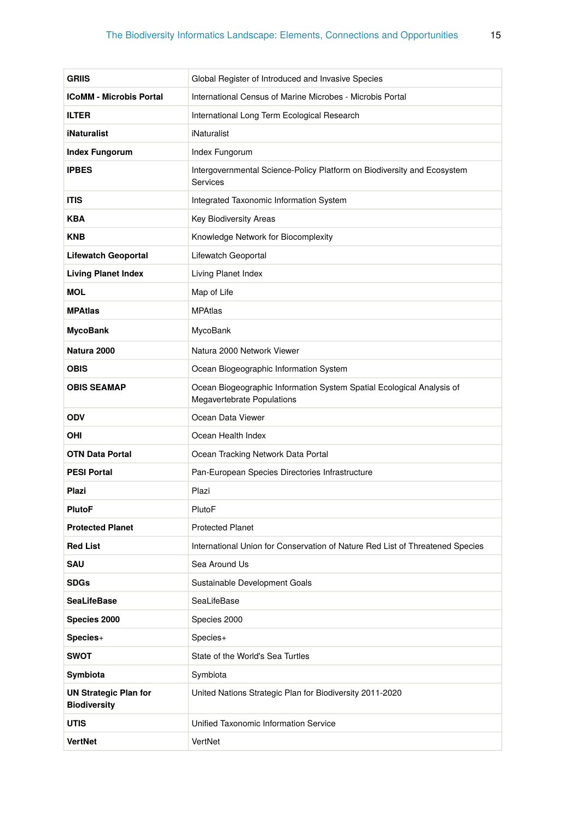| GRIIS                                               | Global Register of Introduced and Invasive Species                                                  |
|-----------------------------------------------------|-----------------------------------------------------------------------------------------------------|
| <b>ICoMM - Microbis Portal</b>                      | International Census of Marine Microbes - Microbis Portal                                           |
| <b>ILTER</b>                                        | International Long Term Ecological Research                                                         |
| <b>iNaturalist</b>                                  | iNaturalist                                                                                         |
| <b>Index Fungorum</b>                               | Index Fungorum                                                                                      |
| <b>IPBES</b>                                        | Intergovernmental Science-Policy Platform on Biodiversity and Ecosystem<br>Services                 |
| <b>ITIS</b>                                         | Integrated Taxonomic Information System                                                             |
| KBA                                                 | Key Biodiversity Areas                                                                              |
| <b>KNB</b>                                          | Knowledge Network for Biocomplexity                                                                 |
| <b>Lifewatch Geoportal</b>                          | Lifewatch Geoportal                                                                                 |
| <b>Living Planet Index</b>                          | Living Planet Index                                                                                 |
| <b>MOL</b>                                          | Map of Life                                                                                         |
| <b>MPAtlas</b>                                      | <b>MPAtlas</b>                                                                                      |
| MycoBank                                            | MycoBank                                                                                            |
| Natura 2000                                         | Natura 2000 Network Viewer                                                                          |
| OBIS                                                | Ocean Biogeographic Information System                                                              |
| <b>OBIS SEAMAP</b>                                  | Ocean Biogeographic Information System Spatial Ecological Analysis of<br>Megavertebrate Populations |
|                                                     |                                                                                                     |
| <b>ODV</b>                                          | Ocean Data Viewer                                                                                   |
| OHI                                                 | Ocean Health Index                                                                                  |
| OTN Data Portal                                     | Ocean Tracking Network Data Portal                                                                  |
| <b>PESI Portal</b>                                  | Pan-European Species Directories Infrastructure                                                     |
| Plazi                                               | Plazi                                                                                               |
| PlutoF                                              | PlutoF                                                                                              |
| <b>Protected Planet</b>                             | <b>Protected Planet</b>                                                                             |
| <b>Red List</b>                                     | International Union for Conservation of Nature Red List of Threatened Species                       |
| SAU                                                 | Sea Around Us                                                                                       |
| <b>SDGs</b>                                         | Sustainable Development Goals                                                                       |
| <b>SeaLifeBase</b>                                  | SeaLifeBase                                                                                         |
| Species 2000                                        | Species 2000                                                                                        |
| Species+                                            | Species+                                                                                            |
| <b>SWOT</b>                                         | State of the World's Sea Turtles                                                                    |
| Symbiota                                            | Symbiota                                                                                            |
| <b>UN Strategic Plan for</b><br><b>Biodiversity</b> | United Nations Strategic Plan for Biodiversity 2011-2020                                            |
| UTIS                                                | Unified Taxonomic Information Service                                                               |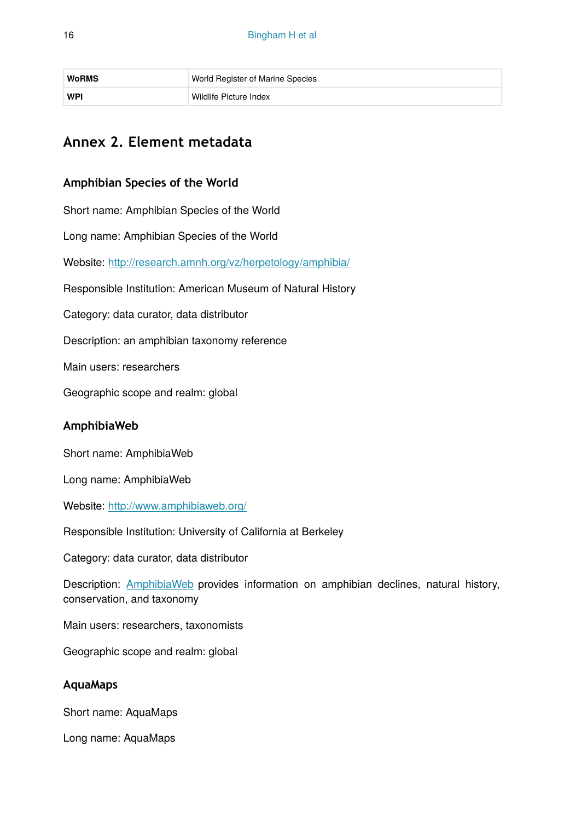| <b>WoRMS</b> | World Register of Marine Species |
|--------------|----------------------------------|
| WPI          | Wildlife Picture Index           |

# **Annex 2. Element metadata**

### **Amphibian Species of the World**

Short name: Amphibian Species of the World

Long name: Amphibian Species of the World

Website: <http://research.amnh.org/vz/herpetology/amphibia/>

Responsible Institution: American Museum of Natural History

Category: data curator, data distributor

Description: an amphibian taxonomy reference

Main users: researchers

Geographic scope and realm: global

### **AmphibiaWeb**

Short name: AmphibiaWeb

Long name: AmphibiaWeb

Website: <http://www.amphibiaweb.org/>

Responsible Institution: University of California at Berkeley

Category: data curator, data distributor

Description: [AmphibiaWeb](http://www.amphibiaweb.org/about/index.html) provides information on amphibian declines, natural history, conservation, and taxonomy

Main users: researchers, taxonomists

Geographic scope and realm: global

### **AquaMaps**

Short name: AquaMaps

Long name: AquaMaps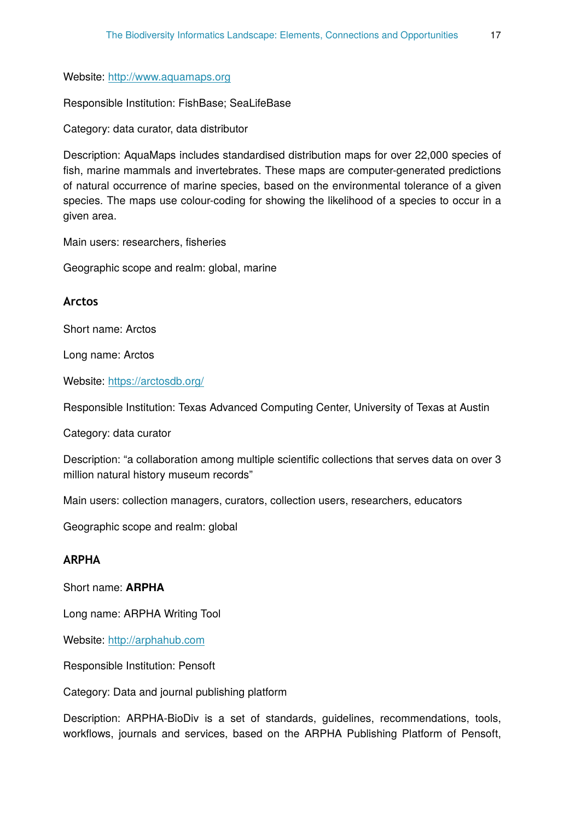Website: [http://www.aquamaps.org](http://www.aquamaps.org/)

Responsible Institution: FishBase; SeaLifeBase

Category: data curator, data distributor

Description: AquaMaps includes standardised distribution maps for over 22,000 species of fish, marine mammals and invertebrates. These maps are computer-generated predictions of natural occurrence of marine species, based on the environmental tolerance of a given species. The maps use colour-coding for showing the likelihood of a species to occur in a given area.

Main users: researchers, fisheries

Geographic scope and realm: global, marine

#### **Arctos**

Short name: Arctos

Long name: Arctos

Website: <https://arctosdb.org/>

Responsible Institution: Texas Advanced Computing Center, University of Texas at Austin

Category: data curator

Description: "a collaboration among multiple scientific collections that serves data on over 3 million natural history museum records"

Main users: collection managers, curators, collection users, researchers, educators

Geographic scope and realm: global

### **ARPHA**

Short name: **ARPHA**

Long name: ARPHA Writing Tool

Website: [http://arphahub.com](http://arphahub.com/)

Responsible Institution: Pensoft

Category: Data and journal publishing platform

Description: ARPHA-BioDiv is a set of standards, guidelines, recommendations, tools, workflows, journals and services, based on the ARPHA Publishing Platform of Pensoft,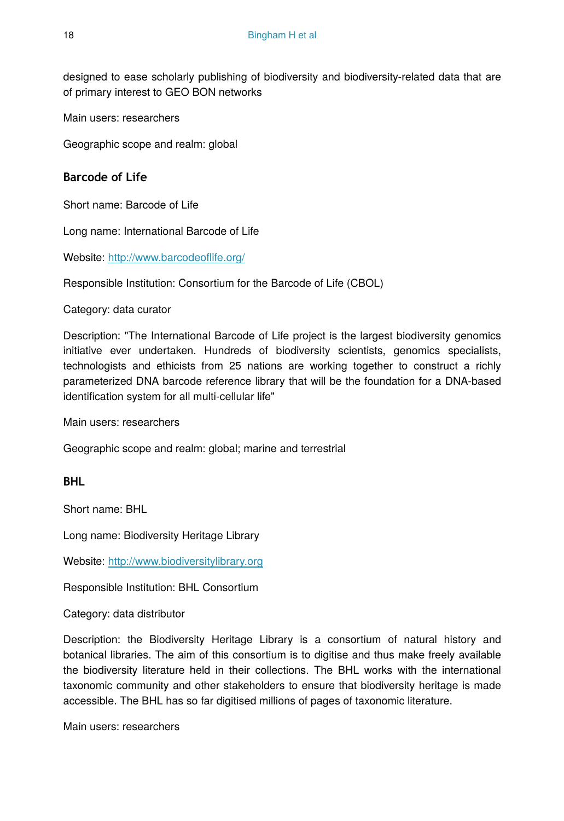designed to ease scholarly publishing of biodiversity and biodiversity-related data that are of primary interest to GEO BON networks

Main users: researchers

Geographic scope and realm: global

### **Barcode of Life**

Short name: Barcode of Life

Long name: International Barcode of Life

Website: [http://www.barcodeo](http://www.barcodeoflife.org/)flife.org/

Responsible Institution: Consortium for the Barcode of Life (CBOL)

Category: data curator

Description: "The International Barcode of Life project is the largest biodiversity genomics initiative ever undertaken. Hundreds of biodiversity scientists, genomics specialists, technologists and ethicists from 25 nations are working together to construct a richly parameterized DNA barcode reference library that will be the foundation for a DNA-based identification system for all multi-cellular life"

Main users: researchers

Geographic scope and realm: global; marine and terrestrial

### **BHL**

Short name: BHL

Long name: Biodiversity Heritage Library

Website: <http://www.biodiversitylibrary.org>

Responsible Institution: BHL Consortium

Category: data distributor

Description: the Biodiversity Heritage Library is a consortium of natural history and botanical libraries. The aim of this consortium is to digitise and thus make freely available the biodiversity literature held in their collections. The BHL works with the international taxonomic community and other stakeholders to ensure that biodiversity heritage is made accessible. The BHL has so far digitised millions of pages of taxonomic literature.

Main users: researchers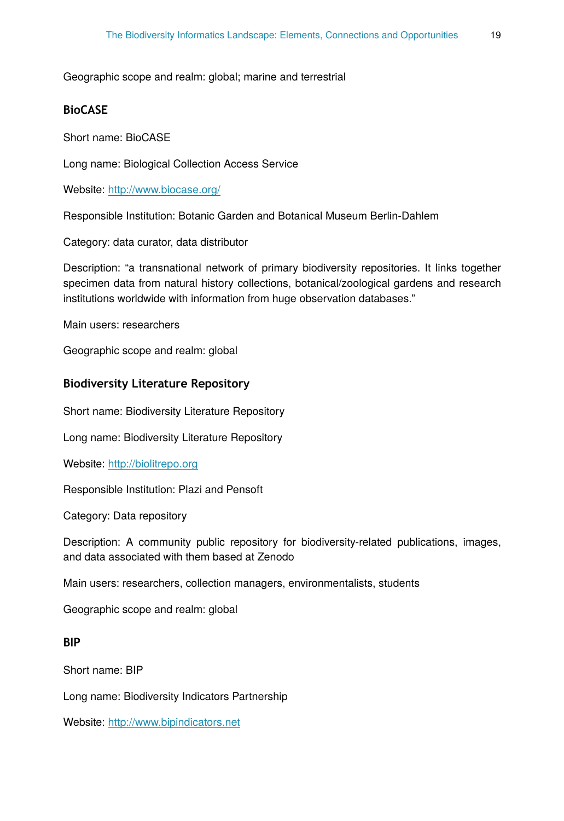#### Geographic scope and realm: global; marine and terrestrial

### **BioCASE**

Short name: BioCASE

Long name: Biological Collection Access Service

Website: <http://www.biocase.org/>

Responsible Institution: Botanic Garden and Botanical Museum Berlin-Dahlem

Category: data curator, data distributor

Description: "a transnational network of primary biodiversity repositories. It links together specimen data from natural history collections, botanical/zoological gardens and research institutions worldwide with information from huge observation databases."

Main users: researchers

Geographic scope and realm: global

### **Biodiversity Literature Repository**

Short name: Biodiversity Literature Repository

Long name: Biodiversity Literature Repository

Website: [http://biolitrepo.org](http://biolitrepo.org/)

Responsible Institution: Plazi and Pensoft

Category: Data repository

Description: A community public repository for biodiversity-related publications, images, and data associated with them based at Zenodo

Main users: researchers, collection managers, environmentalists, students

Geographic scope and realm: global

### **BIP**

Short name: BIP

Long name: Biodiversity Indicators Partnership

Website: <http://www.bipindicators.net>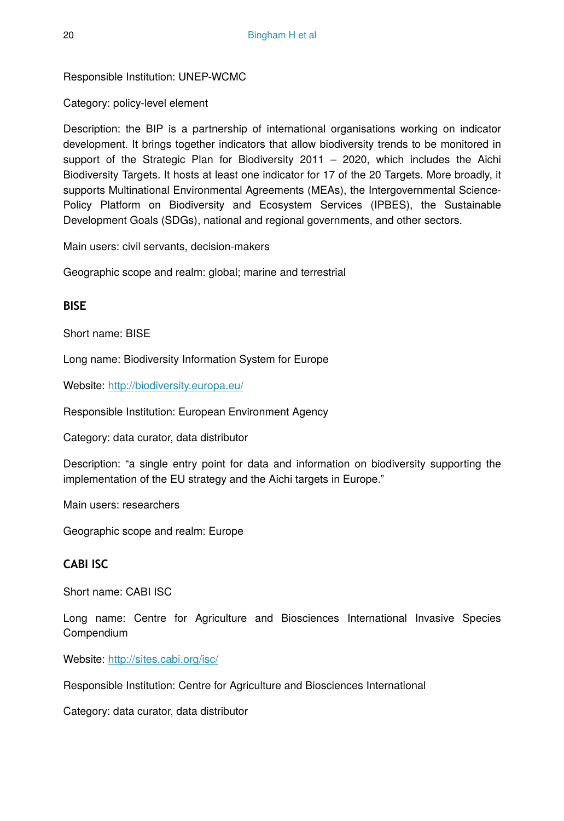Responsible Institution: UNEP-WCMC

Category: policy-level element

Description: the BIP is a partnership of international organisations working on indicator development. It brings together indicators that allow biodiversity trends to be monitored in support of the Strategic Plan for Biodiversity 2011 – 2020, which includes the Aichi Biodiversity Targets. It hosts at least one indicator for 17 of the 20 Targets. More broadly, it supports Multinational Environmental Agreements (MEAs), the Intergovernmental Science-Policy Platform on Biodiversity and Ecosystem Services (IPBES), the Sustainable Development Goals (SDGs), national and regional governments, and other sectors.

Main users: civil servants, decision-makers

Geographic scope and realm: global; marine and terrestrial

### **BISE**

Short name: BISE

Long name: Biodiversity Information System for Europe

Website: <http://biodiversity.europa.eu/>

Responsible Institution: European Environment Agency

Category: data curator, data distributor

Description: "a single entry point for data and information on biodiversity supporting the implementation of the EU strategy and the Aichi targets in Europe."

Main users: researchers

Geographic scope and realm: Europe

### **CABI ISC**

Short name: CABI ISC

Long name: Centre for Agriculture and Biosciences International Invasive Species Compendium

Website: <http://sites.cabi.org/isc/>

Responsible Institution: Centre for Agriculture and Biosciences International

Category: data curator, data distributor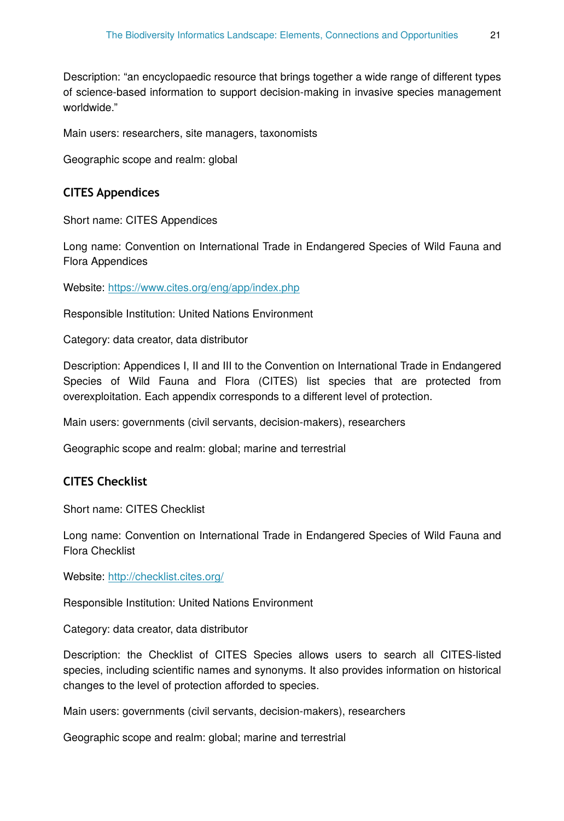Description: "an encyclopaedic resource that brings together a wide range of different types of science-based information to support decision-making in invasive species management worldwide."

Main users: researchers, site managers, taxonomists

Geographic scope and realm: global

### **CITES Appendices**

Short name: CITES Appendices

Long name: Convention on International Trade in Endangered Species of Wild Fauna and Flora Appendices

Website: <https://www.cites.org/eng/app/index.php>

Responsible Institution: United Nations Environment

Category: data creator, data distributor

Description: Appendices I, II and III to the Convention on International Trade in Endangered Species of Wild Fauna and Flora (CITES) list species that are protected from overexploitation. Each appendix corresponds to a different level of protection.

Main users: governments (civil servants, decision-makers), researchers

Geographic scope and realm: global; marine and terrestrial

### **CITES Checklist**

Short name: CITES Checklist

Long name: Convention on International Trade in Endangered Species of Wild Fauna and Flora Checklist

Website: <http://checklist.cites.org/>

Responsible Institution: United Nations Environment

Category: data creator, data distributor

Description: the Checklist of CITES Species allows users to search all CITES-listed species, including scientific names and synonyms. It also provides information on historical changes to the level of protection afforded to species.

Main users: governments (civil servants, decision-makers), researchers

Geographic scope and realm: global; marine and terrestrial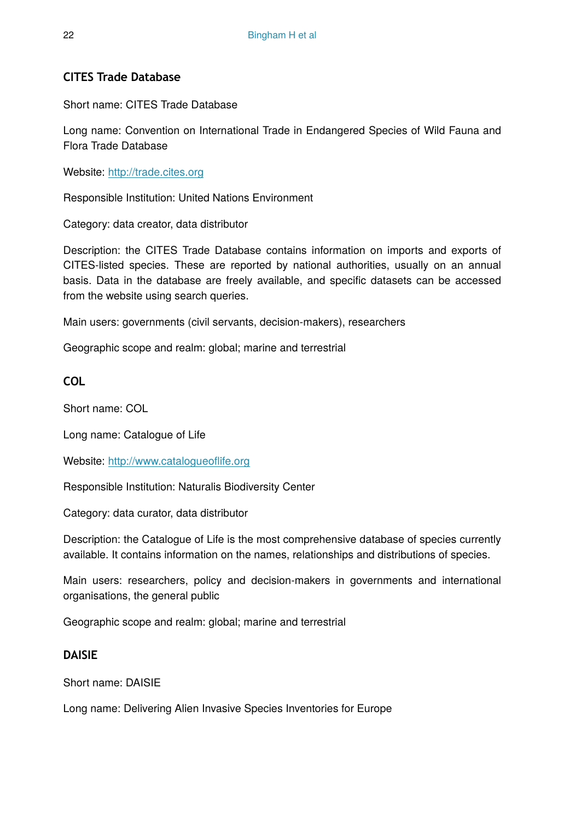# **CITES Trade Database**

Short name: CITES Trade Database

Long name: Convention on International Trade in Endangered Species of Wild Fauna and Flora Trade Database

Website: <http://trade.cites.org>

Responsible Institution: United Nations Environment

Category: data creator, data distributor

Description: the CITES Trade Database contains information on imports and exports of CITES-listed species. These are reported by national authorities, usually on an annual basis. Data in the database are freely available, and specific datasets can be accessed from the website using search queries.

Main users: governments (civil servants, decision-makers), researchers

Geographic scope and realm: global; marine and terrestrial

**COL**

Short name: COL

Long name: Catalogue of Life

Website: [http://www.catalogueo](http://www.catalogueoflife.org)flife.org

Responsible Institution: Naturalis Biodiversity Center

Category: data curator, data distributor

Description: the Catalogue of Life is the most comprehensive database of species currently available. It contains information on the names, relationships and distributions of species.

Main users: researchers, policy and decision-makers in governments and international organisations, the general public

Geographic scope and realm: global; marine and terrestrial

### **DAISIE**

Short name: DAISIE

Long name: Delivering Alien Invasive Species Inventories for Europe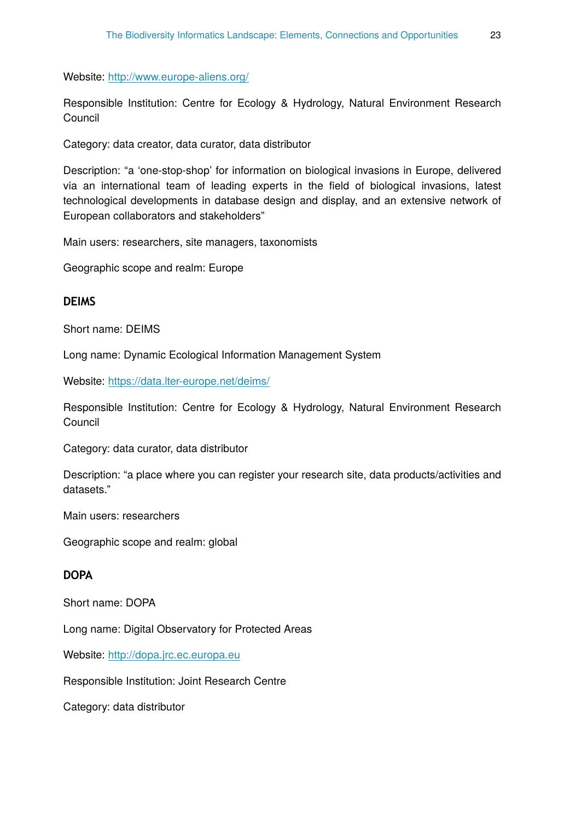Website: <http://www.europe-aliens.org/>

Responsible Institution: Centre for Ecology & Hydrology, Natural Environment Research Council

Category: data creator, data curator, data distributor

Description: "a 'one-stop-shop' for information on biological invasions in Europe, delivered via an international team of leading experts in the field of biological invasions, latest technological developments in database design and display, and an extensive network of European collaborators and stakeholders"

Main users: researchers, site managers, taxonomists

Geographic scope and realm: Europe

### **DEIMS**

Short name: DEIMS

Long name: Dynamic Ecological Information Management System

Website: <https://data.lter-europe.net/deims/>

Responsible Institution: Centre for Ecology & Hydrology, Natural Environment Research Council

Category: data curator, data distributor

Description: "a place where you can register your research site, data products/activities and datasets."

Main users: researchers

Geographic scope and realm: global

### **DOPA**

Short name: DOPA

Long name: Digital Observatory for Protected Areas

Website: <http://dopa.jrc.ec.europa.eu>

Responsible Institution: Joint Research Centre

Category: data distributor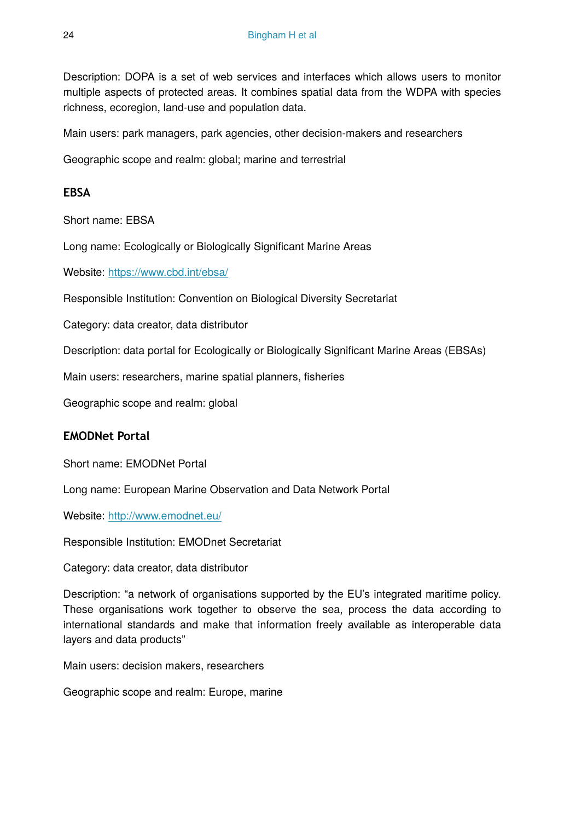Description: DOPA is a set of web services and interfaces which allows users to monitor multiple aspects of protected areas. It combines spatial data from the WDPA with species richness, ecoregion, land-use and population data.

Main users: park managers, park agencies, other decision-makers and researchers

Geographic scope and realm: global; marine and terrestrial

# **EBSA**

Short name: EBSA

Long name: Ecologically or Biologically Significant Marine Areas

Website: <https://www.cbd.int/ebsa/>

Responsible Institution: Convention on Biological Diversity Secretariat

Category: data creator, data distributor

Description: data portal for Ecologically or Biologically Significant Marine Areas (EBSAs)

Main users: researchers, marine spatial planners, fisheries

Geographic scope and realm: global

### **EMODNet Portal**

Short name: EMODNet Portal

Long name: European Marine Observation and Data Network Portal

Website: <http://www.emodnet.eu/>

Responsible Institution: EMODnet Secretariat

Category: data creator, data distributor

Description: "a network of organisations supported by the EU's integrated maritime policy. These organisations work together to observe the sea, process the data according to international standards and make that information freely available as interoperable data layers and data products"

Main users: decision makers, researchers

Geographic scope and realm: Europe, marine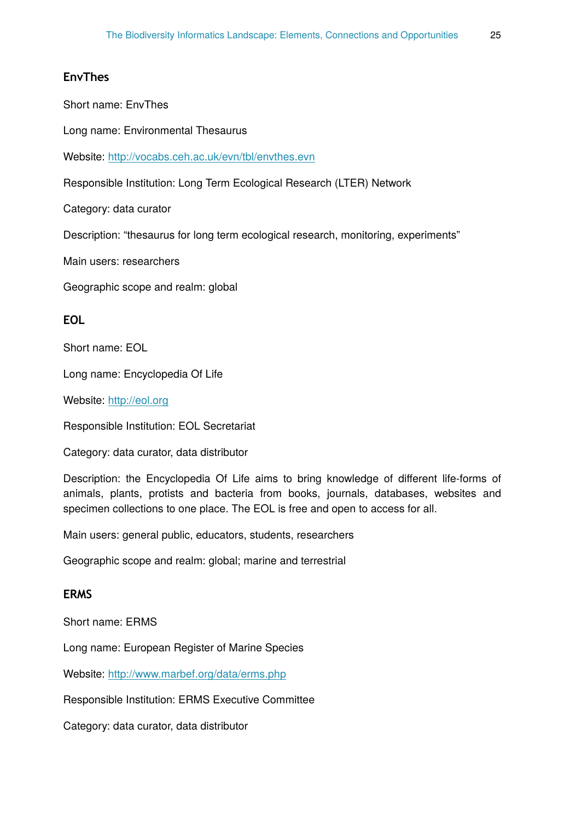### **EnvThes**

Short name: EnvThes

Long name: Environmental Thesaurus

Website: <http://vocabs.ceh.ac.uk/evn/tbl/envthes.evn>

Responsible Institution: Long Term Ecological Research (LTER) Network

Category: data curator

Description: "thesaurus for long term ecological research, monitoring, experiments"

Main users: researchers

Geographic scope and realm: global

### **EOL**

Short name: EOL

Long name: Encyclopedia Of Life

Website: <http://eol.org>

Responsible Institution: EOL Secretariat

Category: data curator, data distributor

Description: the Encyclopedia Of Life aims to bring knowledge of different life-forms of animals, plants, protists and bacteria from books, journals, databases, websites and specimen collections to one place. The EOL is free and open to access for all.

Main users: general public, educators, students, researchers

Geographic scope and realm: global; marine and terrestrial

### **ERMS**

Short name: ERMS

Long name: European Register of Marine Species

Website: <http://www.marbef.org/data/erms.php>

Responsible Institution: ERMS Executive Committee

Category: data curator, data distributor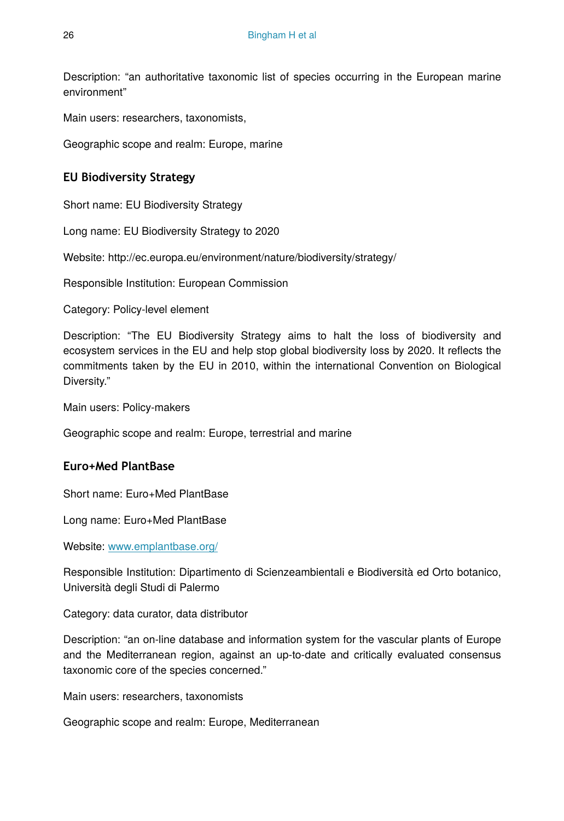Description: "an authoritative taxonomic list of species occurring in the European marine environment"

Main users: researchers, taxonomists,

Geographic scope and realm: Europe, marine

# **EU Biodiversity Strategy**

Short name: EU Biodiversity Strategy

Long name: EU Biodiversity Strategy to 2020

Website: http://ec.europa.eu/environment/nature/biodiversity/strategy/

Responsible Institution: European Commission

Category: Policy-level element

Description: "The EU Biodiversity Strategy aims to halt the loss of biodiversity and ecosystem services in the EU and help stop global biodiversity loss by 2020. It reflects the commitments taken by the EU in 2010, within the international Convention on Biological Diversity."

Main users: Policy-makers

Geographic scope and realm: Europe, terrestrial and marine

# **Euro+Med PlantBase**

Short name: Euro+Med PlantBase

Long name: Euro+Med PlantBase

Website: [www.emplantbase.org/](http://www.emplantbase.org/)

Responsible Institution: Dipartimento di Scienzeambientali e Biodiversità ed Orto botanico, Università degli Studi di Palermo

Category: data curator, data distributor

Description: "an on-line database and information system for the vascular plants of Europe and the Mediterranean region, against an up-to-date and critically evaluated consensus taxonomic core of the species concerned."

Main users: researchers, taxonomists

Geographic scope and realm: Europe, Mediterranean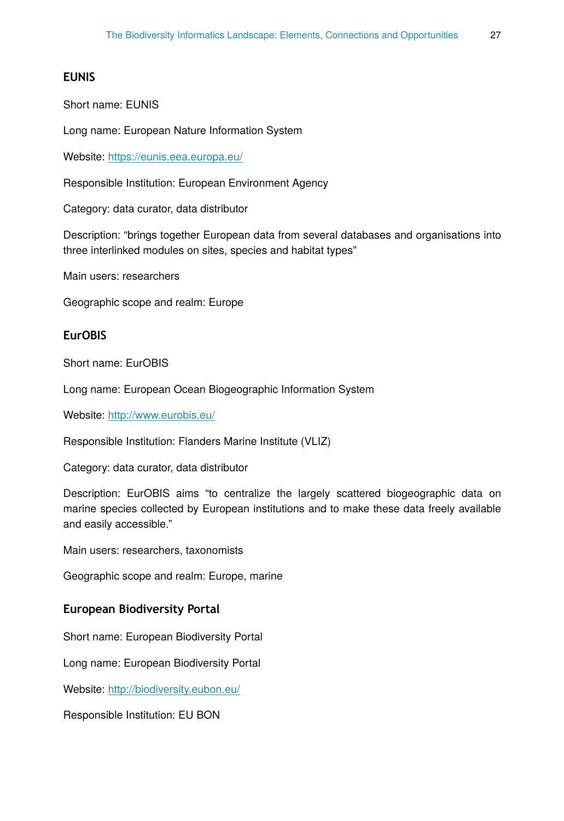# **EUNIS**

Short name: EUNIS

Long name: European Nature Information System

Website: <https://eunis.eea.europa.eu/>

Responsible Institution: European Environment Agency

Category: data curator, data distributor

Description: "brings together European data from several databases and organisations into three interlinked modules on sites, species and habitat types"

Main users: researchers

Geographic scope and realm: Europe

# **EurOBIS**

Short name: EurOBIS

Long name: European Ocean Biogeographic Information System

Website: <http://www.eurobis.eu/>

Responsible Institution: Flanders Marine Institute (VLIZ)

Category: data curator, data distributor

Description: EurOBIS aims "to centralize the largely scattered biogeographic data on marine species collected by European institutions and to make these data freely available and easily accessible."

Main users: researchers, taxonomists

Geographic scope and realm: Europe, marine

### **European Biodiversity Portal**

Short name: European Biodiversity Portal

Long name: European Biodiversity Portal

Website: <http://biodiversity.eubon.eu/>

Responsible Institution: EU BON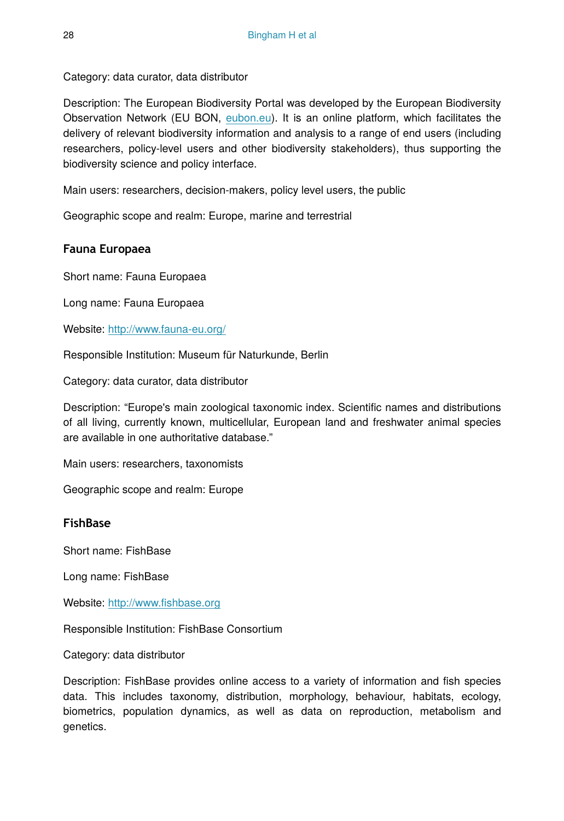Category: data curator, data distributor

Description: The European Biodiversity Portal was developed by the European Biodiversity Observation Network (EU BON, [eubon.eu\)](http://eubon.eu/). It is an online platform, which facilitates the delivery of relevant biodiversity information and analysis to a range of end users (including researchers, policy-level users and other biodiversity stakeholders), thus supporting the biodiversity science and policy interface.

Main users: researchers, decision-makers, policy level users, the public

Geographic scope and realm: Europe, marine and terrestrial

# **Fauna Europaea**

Short name: Fauna Europaea

Long name: Fauna Europaea

Website: <http://www.fauna-eu.org/>

Responsible Institution: Museum für Naturkunde, Berlin

Category: data curator, data distributor

Description: "Europe's main zoological taxonomic index. Scientific names and distributions of all living, currently known, multicellular, European land and freshwater animal species are available in one authoritative database."

Main users: researchers, taxonomists

Geographic scope and realm: Europe

# **FishBase**

Short name: FishBase

Long name: FishBase

Website: http://www.fi[shbase.org](http://www.fishbase.org)

Responsible Institution: FishBase Consortium

Category: data distributor

Description: FishBase provides online access to a variety of information and fish species data. This includes taxonomy, distribution, morphology, behaviour, habitats, ecology, biometrics, population dynamics, as well as data on reproduction, metabolism and genetics.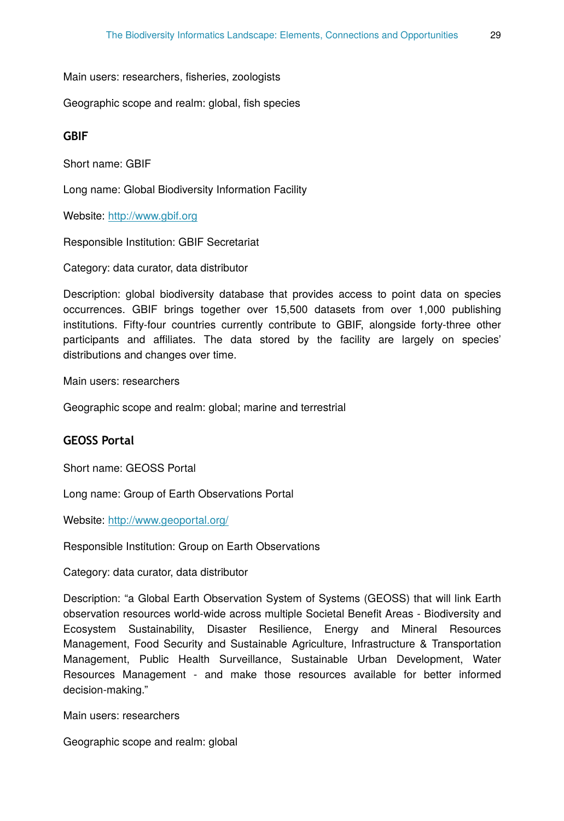Main users: researchers, fisheries, zoologists

Geographic scope and realm: global, fish species

### **GBIF**

Short name: GBIF

Long name: Global Biodiversity Information Facility

Website: <http://www.gbif.org>

Responsible Institution: GBIF Secretariat

Category: data curator, data distributor

Description: global biodiversity database that provides access to point data on species occurrences. GBIF brings together over 15,500 datasets from over 1,000 publishing institutions. Fifty-four countries currently contribute to GBIF, alongside forty-three other participants and affiliates. The data stored by the facility are largely on species' distributions and changes over time.

Main users: researchers

Geographic scope and realm: global; marine and terrestrial

### **GEOSS Portal**

Short name: GEOSS Portal

Long name: Group of Earth Observations Portal

Website: <http://www.geoportal.org/>

Responsible Institution: Group on Earth Observations

Category: data curator, data distributor

Description: "a Global Earth Observation System of Systems (GEOSS) that will link Earth observation resources world-wide across multiple Societal Benefit Areas - Biodiversity and Ecosystem Sustainability, Disaster Resilience, Energy and Mineral Resources Management, Food Security and Sustainable Agriculture, Infrastructure & Transportation Management, Public Health Surveillance, Sustainable Urban Development, Water Resources Management - and make those resources available for better informed decision-making."

Main users: researchers

Geographic scope and realm: global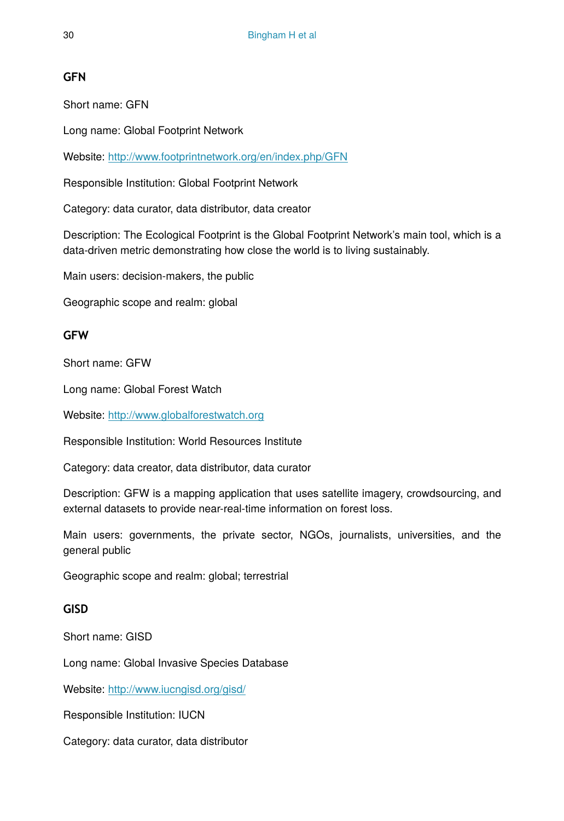# **GFN**

Short name: GFN

Long name: Global Footprint Network

Website: <http://www.footprintnetwork.org/en/index.php/GFN>

Responsible Institution: Global Footprint Network

Category: data curator, data distributor, data creator

Description: The Ecological Footprint is the Global Footprint Network's main tool, which is a data-driven metric demonstrating how close the world is to living sustainably.

Main users: decision-makers, the public

Geographic scope and realm: global

# **GFW**

Short name: GFW

Long name: Global Forest Watch

Website: <http://www.globalforestwatch.org>

Responsible Institution: World Resources Institute

Category: data creator, data distributor, data curator

Description: GFW is a mapping application that uses satellite imagery, crowdsourcing, and external datasets to provide near-real-time information on forest loss.

Main users: governments, the private sector, NGOs, journalists, universities, and the general public

Geographic scope and realm: global; terrestrial

# **GISD**

Short name: GISD

Long name: Global Invasive Species Database

Website: <http://www.iucngisd.org/gisd/>

Responsible Institution: IUCN

Category: data curator, data distributor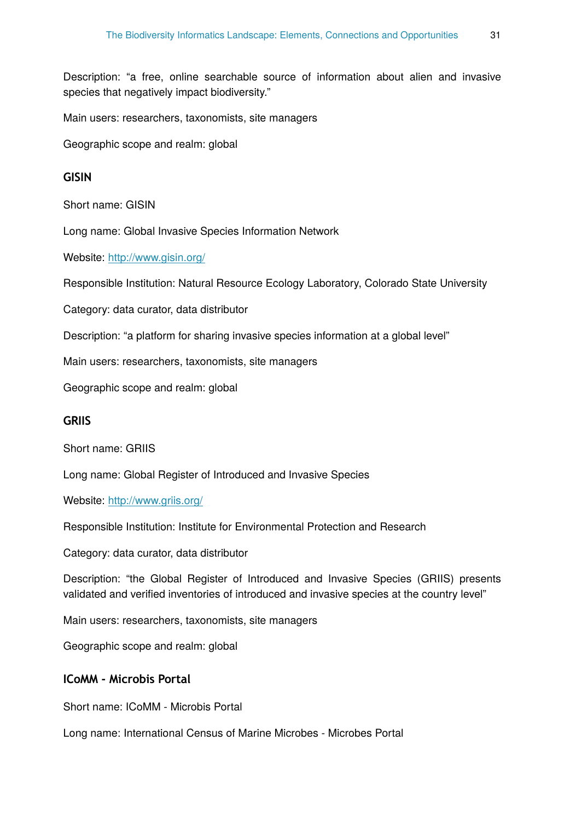Description: "a free, online searchable source of information about alien and invasive species that negatively impact biodiversity."

Main users: researchers, taxonomists, site managers

Geographic scope and realm: global

### **GISIN**

Short name: GISIN

Long name: Global Invasive Species Information Network

Website: <http://www.gisin.org/>

Responsible Institution: Natural Resource Ecology Laboratory, Colorado State University

Category: data curator, data distributor

Description: "a platform for sharing invasive species information at a global level"

Main users: researchers, taxonomists, site managers

Geographic scope and realm: global

# **GRIIS**

Short name: GRIIS

Long name: Global Register of Introduced and Invasive Species

Website: <http://www.griis.org/>

Responsible Institution: Institute for Environmental Protection and Research

Category: data curator, data distributor

Description: "the Global Register of Introduced and Invasive Species (GRIIS) presents validated and verified inventories of introduced and invasive species at the country level"

Main users: researchers, taxonomists, site managers

Geographic scope and realm: global

### **ICoMM - Microbis Portal**

Short name: ICoMM - Microbis Portal

Long name: International Census of Marine Microbes - Microbes Portal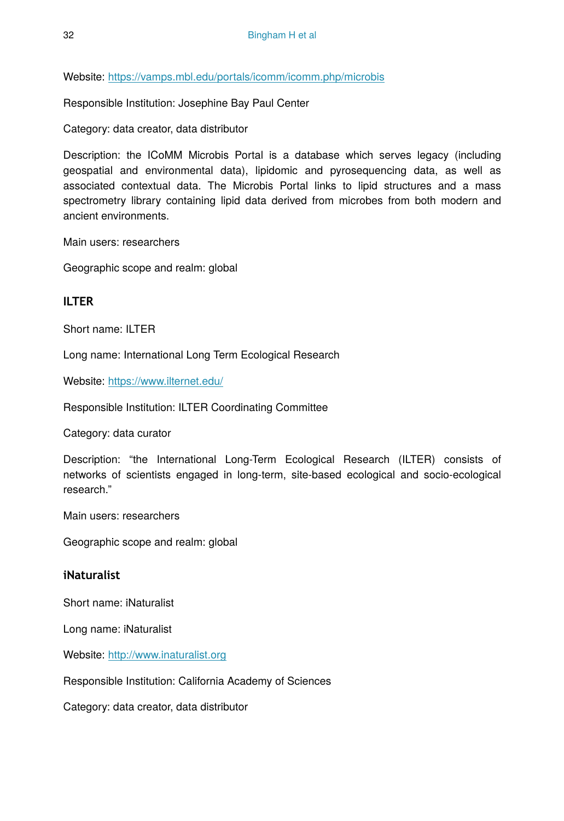Website: <https://vamps.mbl.edu/portals/icomm/icomm.php/microbis>

Responsible Institution: Josephine Bay Paul Center

Category: data creator, data distributor

Description: the ICoMM Microbis Portal is a database which serves legacy (including geospatial and environmental data), lipidomic and pyrosequencing data, as well as associated contextual data. The Microbis Portal links to lipid structures and a mass spectrometry library containing lipid data derived from microbes from both modern and ancient environments.

Main users: researchers

Geographic scope and realm: global

# **ILTER**

Short name: ILTER

Long name: International Long Term Ecological Research

Website: <https://www.ilternet.edu/>

Responsible Institution: ILTER Coordinating Committee

Category: data curator

Description: "the International Long-Term Ecological Research (ILTER) consists of networks of scientists engaged in long-term, site-based ecological and socio-ecological research."

Main users: researchers

Geographic scope and realm: global

### **iNaturalist**

Short name: iNaturalist

Long name: iNaturalist

Website: <http://www.inaturalist.org>

Responsible Institution: California Academy of Sciences

Category: data creator, data distributor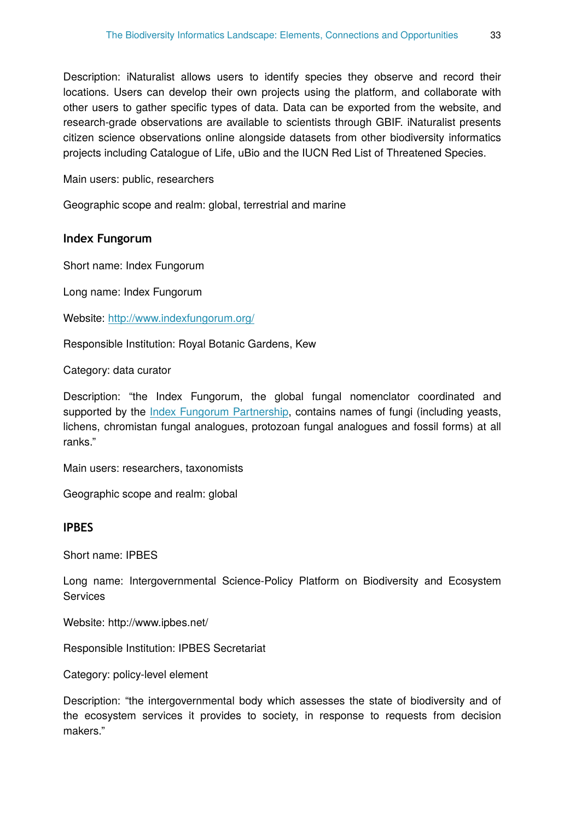Description: iNaturalist allows users to identify species they observe and record their locations. Users can develop their own projects using the platform, and collaborate with other users to gather specific types of data. Data can be exported from the website, and research-grade observations are available to scientists through GBIF. iNaturalist presents citizen science observations online alongside datasets from other biodiversity informatics projects including Catalogue of Life, uBio and the IUCN Red List of Threatened Species.

Main users: public, researchers

Geographic scope and realm: global, terrestrial and marine

### **Index Fungorum**

Short name: Index Fungorum

Long name: Index Fungorum

Website: <http://www.indexfungorum.org/>

Responsible Institution: Royal Botanic Gardens, Kew

Category: data curator

Description: "the Index Fungorum, the global fungal nomenclator coordinated and supported by the *[Index Fungorum Partnership](javascript:popUp(%22Names/IndexFungorumPartnership.htm%22))*, contains names of fungi (including yeasts, lichens, chromistan fungal analogues, protozoan fungal analogues and fossil forms) at all ranks."

Main users: researchers, taxonomists

Geographic scope and realm: global

### **IPBES**

Short name: IPBES

Long name: Intergovernmental Science-Policy Platform on Biodiversity and Ecosystem **Services** 

Website: http://www.ipbes.net/

Responsible Institution: IPBES Secretariat

Category: policy-level element

Description: "the intergovernmental body which assesses the state of biodiversity and of the ecosystem services it provides to society, in response to requests from decision makers."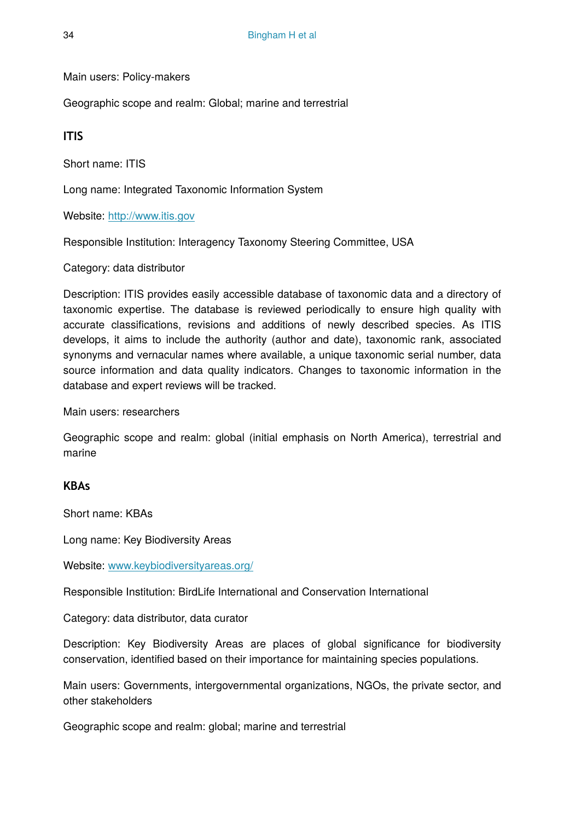Main users: Policy-makers

Geographic scope and realm: Global; marine and terrestrial

**ITIS**

Short name: ITIS

Long name: Integrated Taxonomic Information System

Website: <http://www.itis.gov>

Responsible Institution: Interagency Taxonomy Steering Committee, USA

Category: data distributor

Description: ITIS provides easily accessible database of taxonomic data and a directory of taxonomic expertise. The database is reviewed periodically to ensure high quality with accurate classifications, revisions and additions of newly described species. As ITIS develops, it aims to include the authority (author and date), taxonomic rank, associated synonyms and vernacular names where available, a unique taxonomic serial number, data source information and data quality indicators. Changes to taxonomic information in the database and expert reviews will be tracked.

Main users: researchers

Geographic scope and realm: global (initial emphasis on North America), terrestrial and marine

### **KBAs**

Short name: KBAs

Long name: Key Biodiversity Areas

Website: [www.keybiodiversityareas.org/](http://www.keybiodiversityareas.org/)

Responsible Institution: BirdLife International and Conservation International

Category: data distributor, data curator

Description: Key Biodiversity Areas are places of global significance for biodiversity conservation, identified based on their importance for maintaining species populations.

Main users: Governments, intergovernmental organizations, NGOs, the private sector, and other stakeholders

Geographic scope and realm: global; marine and terrestrial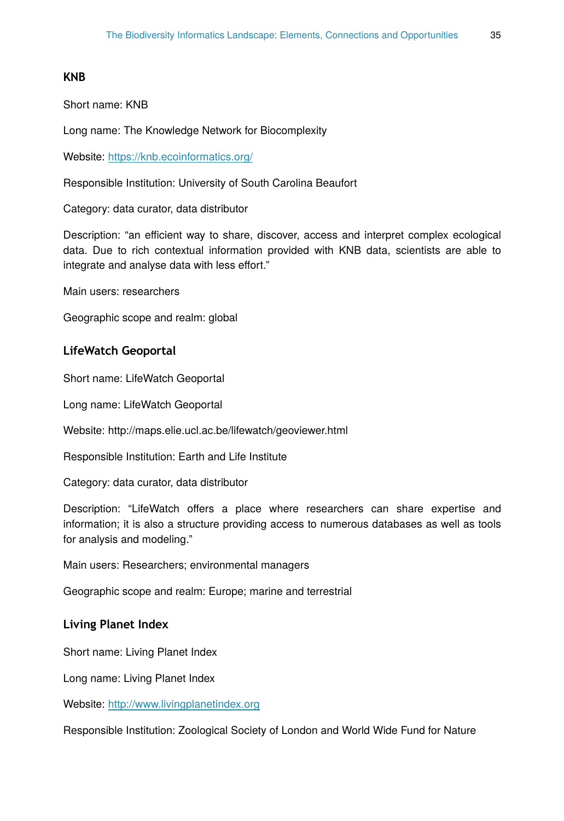### **KNB**

Short name: KNB

Long name: The Knowledge Network for Biocomplexity

Website: <https://knb.ecoinformatics.org/>

Responsible Institution: University of South Carolina Beaufort

Category: data curator, data distributor

Description: "an efficient way to share, discover, access and interpret complex ecological data. Due to rich contextual information provided with KNB data, scientists are able to integrate and analyse data with less effort."

Main users: researchers

Geographic scope and realm: global

#### **LifeWatch Geoportal**

Short name: LifeWatch Geoportal

Long name: LifeWatch Geoportal

Website: http://maps.elie.ucl.ac.be/lifewatch/geoviewer.html

Responsible Institution: Earth and Life Institute

Category: data curator, data distributor

Description: "LifeWatch offers a place where researchers can share expertise and information; it is also a structure providing access to numerous databases as well as tools for analysis and modeling."

Main users: Researchers; environmental managers

Geographic scope and realm: Europe; marine and terrestrial

### **Living Planet Index**

Short name: Living Planet Index

Long name: Living Planet Index

Website: <http://www.livingplanetindex.org>

Responsible Institution: Zoological Society of London and World Wide Fund for Nature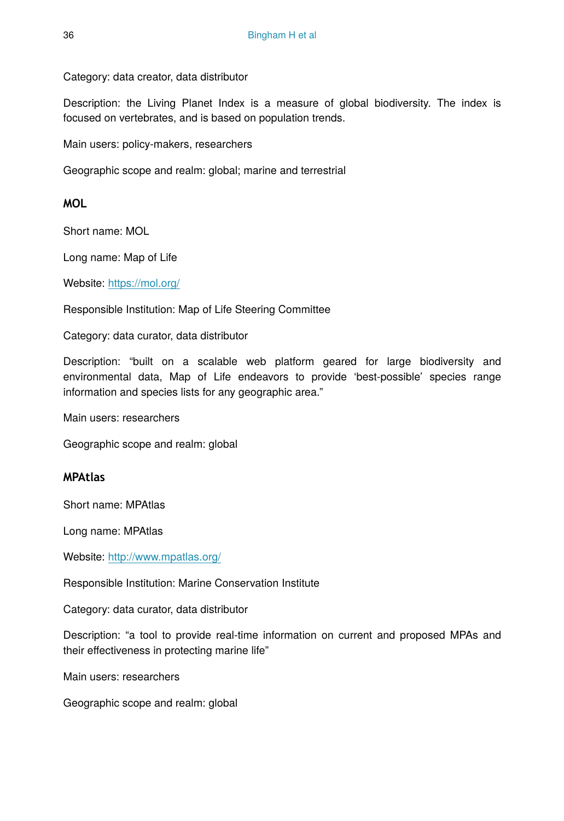Category: data creator, data distributor

Description: the Living Planet Index is a measure of global biodiversity. The index is focused on vertebrates, and is based on population trends.

Main users: policy-makers, researchers

Geographic scope and realm: global; marine and terrestrial

### **MOL**

Short name: MOL

Long name: Map of Life

Website: <https://mol.org/>

Responsible Institution: Map of Life Steering Committee

Category: data curator, data distributor

Description: "built on a scalable web platform geared for large biodiversity and environmental data, Map of Life endeavors to provide 'best-possible' species range information and species lists for any geographic area."

Main users: researchers

Geographic scope and realm: global

### **MPAtlas**

Short name: MPAtlas

Long name: MPAtlas

Website: <http://www.mpatlas.org/>

Responsible Institution: Marine Conservation Institute

Category: data curator, data distributor

Description: "a tool to provide real-time information on current and proposed MPAs and their effectiveness in protecting marine life"

Main users: researchers

Geographic scope and realm: global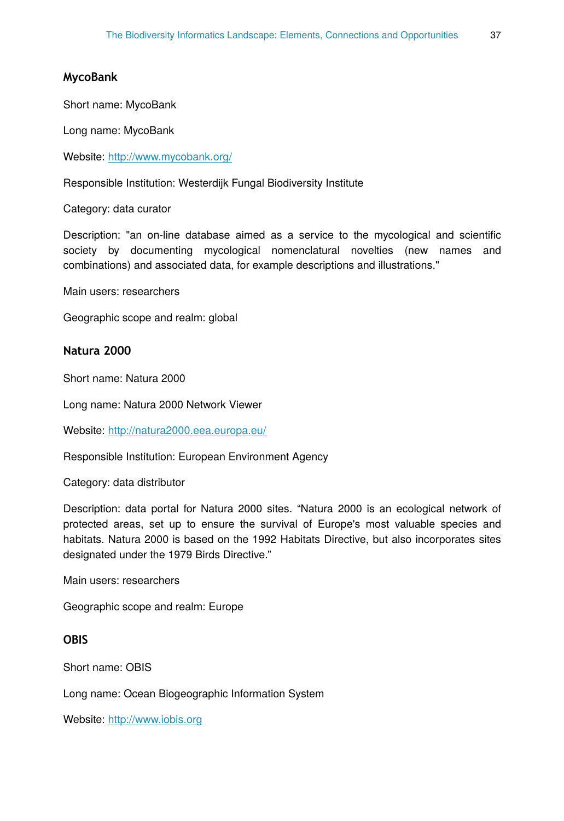#### **MycoBank**

Short name: MycoBank

Long name: MycoBank

Website: [http://www.mycobank.org/](http://www.mycobank.org/%C2%A0)

Responsible Institution: Westerdijk Fungal Biodiversity Institute

Category: data curator

Description: "an on-line database aimed as a service to the mycological and scientific society by documenting mycological nomenclatural novelties (new names and combinations) and associated data, for example descriptions and illustrations."

Main users: researchers

Geographic scope and realm: global

### **Natura 2000**

Short name: Natura 2000

Long name: Natura 2000 Network Viewer

Website: <http://natura2000.eea.europa.eu/>

Responsible Institution: European Environment Agency

Category: data distributor

Description: data portal for Natura 2000 sites. "Natura 2000 is an ecological network of protected areas, set up to ensure the survival of Europe's most valuable species and habitats. Natura 2000 is based on the 1992 Habitats Directive, but also incorporates sites designated under the 1979 Birds Directive."

Main users: researchers

Geographic scope and realm: Europe

# **OBIS**

Short name: OBIS

Long name: Ocean Biogeographic Information System

Website: <http://www.iobis.org>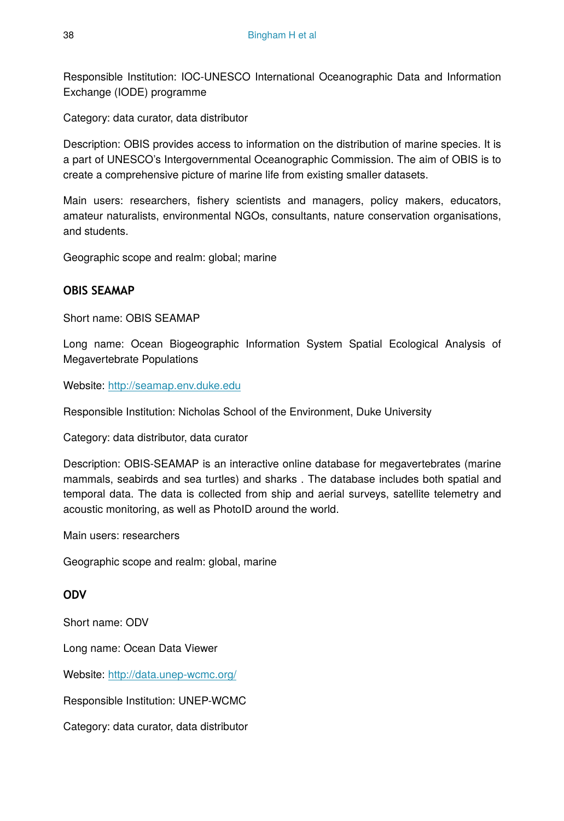Responsible Institution: IOC-UNESCO International Oceanographic Data and Information Exchange (IODE) programme

Category: data curator, data distributor

Description: OBIS provides access to information on the distribution of marine species. It is a part of UNESCO's Intergovernmental Oceanographic Commission. The aim of OBIS is to create a comprehensive picture of marine life from existing smaller datasets.

Main users: researchers, fishery scientists and managers, policy makers, educators, amateur naturalists, environmental NGOs, consultants, nature conservation organisations, and students.

Geographic scope and realm: global; marine

# **OBIS SEAMAP**

Short name: OBIS SEAMAP

Long name: Ocean Biogeographic Information System Spatial Ecological Analysis of Megavertebrate Populations

Website: <http://seamap.env.duke.edu>

Responsible Institution: Nicholas School of the Environment, Duke University

Category: data distributor, data curator

Description: OBIS-SEAMAP is an interactive online database for megavertebrates (marine mammals, seabirds and sea turtles) and sharks . The database includes both spatial and temporal data. The data is collected from ship and aerial surveys, satellite telemetry and acoustic monitoring, as well as PhotoID around the world.

Main users: researchers

Geographic scope and realm: global, marine

### **ODV**

Short name: ODV

Long name: Ocean Data Viewer

Website: <http://data.unep-wcmc.org/>

Responsible Institution: UNEP-WCMC

Category: data curator, data distributor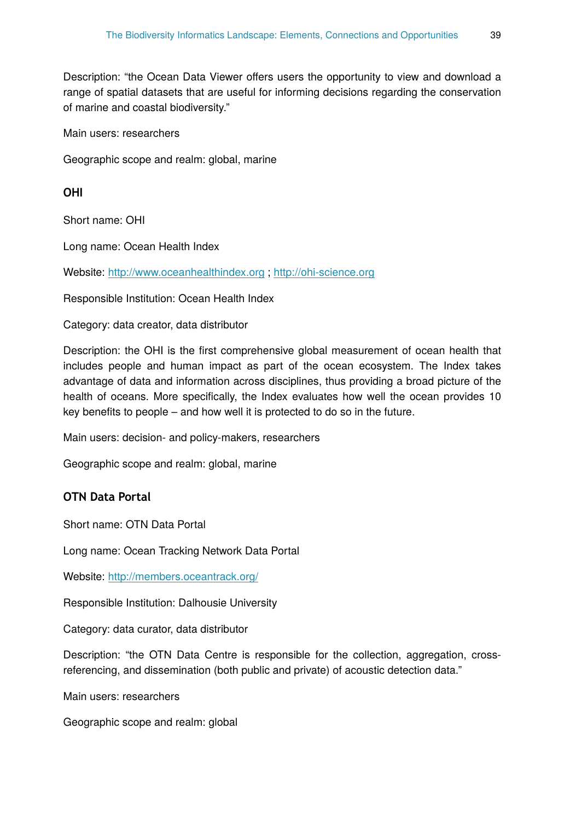Description: "the Ocean Data Viewer offers users the opportunity to view and download a range of spatial datasets that are useful for informing decisions regarding the conservation of marine and coastal biodiversity."

Main users: researchers

Geographic scope and realm: global, marine

**OHI**

Short name: OHI

Long name: Ocean Health Index

Website: <http://www.oceanhealthindex.org> ; <http://ohi-science.org>

Responsible Institution: Ocean Health Index

Category: data creator, data distributor

Description: the OHI is the first comprehensive global measurement of ocean health that includes people and human impact as part of the ocean ecosystem. The Index takes advantage of data and information across disciplines, thus providing a broad picture of the health of oceans. More specifically, the Index evaluates how well the ocean provides 10 key benefits to people – and how well it is protected to do so in the future.

Main users: decision- and policy-makers, researchers

Geographic scope and realm: global, marine

### **OTN Data Portal**

Short name: OTN Data Portal

Long name: Ocean Tracking Network Data Portal

Website: <http://members.oceantrack.org/>

Responsible Institution: Dalhousie University

Category: data curator, data distributor

Description: "the OTN Data Centre is responsible for the collection, aggregation, crossreferencing, and dissemination (both public and private) of acoustic detection data."

Main users: researchers

Geographic scope and realm: global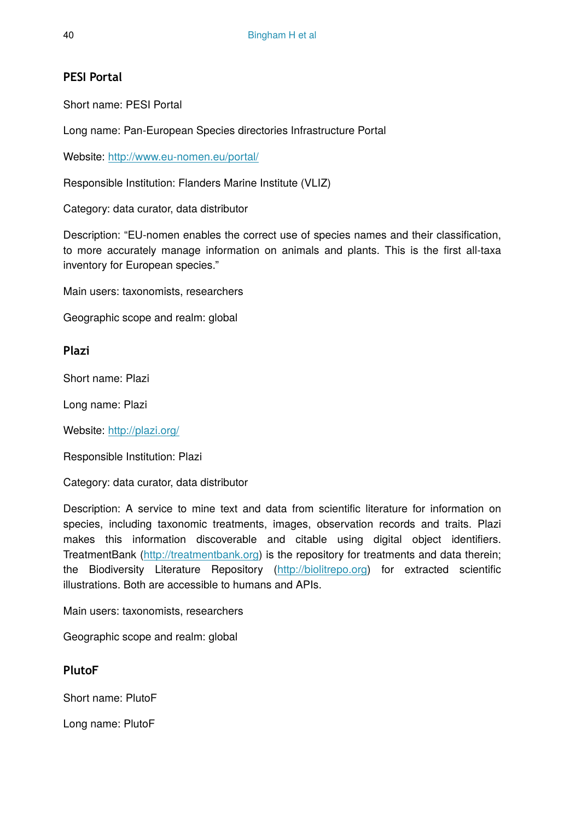# **PESI Portal**

Short name: PESI Portal

Long name: Pan-European Species directories Infrastructure Portal

Website: <http://www.eu-nomen.eu/portal/>

Responsible Institution: Flanders Marine Institute (VLIZ)

Category: data curator, data distributor

Description: "EU-nomen enables the correct use of species names and their classification, to more accurately manage information on animals and plants. This is the first all-taxa inventory for European species."

Main users: taxonomists, researchers

Geographic scope and realm: global

# **Plazi**

Short name: Plazi

Long name: Plazi

Website: <http://plazi.org/>

Responsible Institution: Plazi

Category: data curator, data distributor

Description: A service to mine text and data from scientific literature for information on species, including taxonomic treatments, images, observation records and traits. Plazi makes this information discoverable and citable using digital object identifiers. TreatmentBank [\(http://treatmentbank.org](http://treatmentBank.org)) is the repository for treatments and data therein; the Biodiversity Literature Repository (<http://biolitrepo.org>) for extracted scientific illustrations. Both are accessible to humans and APIs.

Main users: taxonomists, researchers

Geographic scope and realm: global

# **PlutoF**

Short name: PlutoF

Long name: PlutoF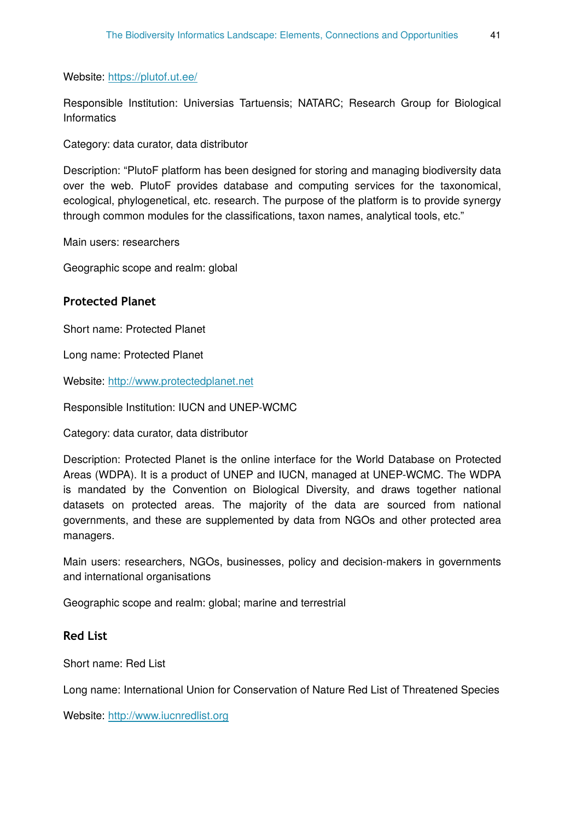Website: <https://plutof.ut.ee/>

Responsible Institution: Universias Tartuensis; NATARC; Research Group for Biological **Informatics** 

Category: data curator, data distributor

Description: "PlutoF platform has been designed for storing and managing biodiversity data over the web. PlutoF provides database and computing services for the taxonomical, ecological, phylogenetical, etc. research. The purpose of the platform is to provide synergy through common modules for the classifications, taxon names, analytical tools, etc."

Main users: researchers

Geographic scope and realm: global

#### **Protected Planet**

Short name: Protected Planet

Long name: Protected Planet

Website: <http://www.protectedplanet.net>

Responsible Institution: IUCN and UNEP-WCMC

Category: data curator, data distributor

Description: Protected Planet is the online interface for the World Database on Protected Areas (WDPA). It is a product of UNEP and IUCN, managed at UNEP-WCMC. The WDPA is mandated by the Convention on Biological Diversity, and draws together national datasets on protected areas. The majority of the data are sourced from national governments, and these are supplemented by data from NGOs and other protected area managers.

Main users: researchers, NGOs, businesses, policy and decision-makers in governments and international organisations

Geographic scope and realm: global; marine and terrestrial

### **Red List**

Short name: Red List

Long name: International Union for Conservation of Nature Red List of Threatened Species

Website: <http://www.iucnredlist.org>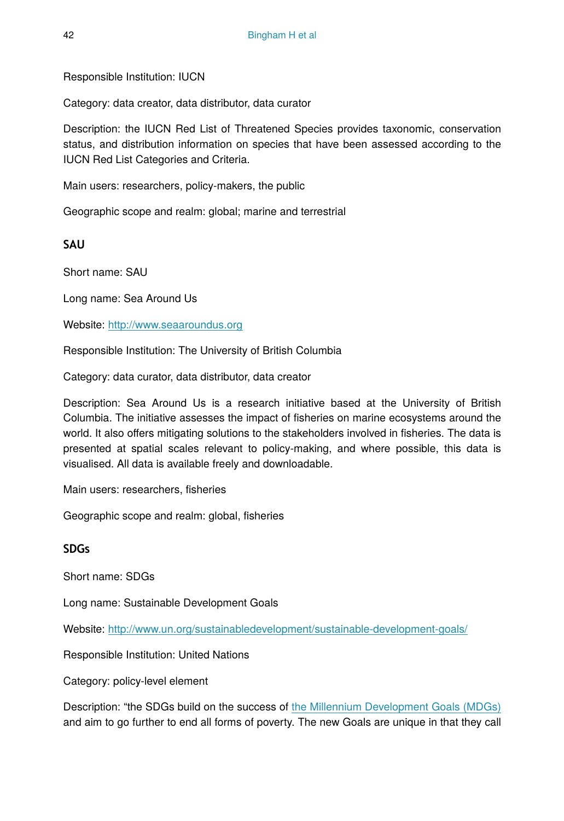Responsible Institution: IUCN

Category: data creator, data distributor, data curator

Description: the IUCN Red List of Threatened Species provides taxonomic, conservation status, and distribution information on species that have been assessed according to the IUCN Red List Categories and Criteria.

Main users: researchers, policy-makers, the public

Geographic scope and realm: global; marine and terrestrial

**SAU**

Short name: SAU

Long name: Sea Around Us

Website: <http://www.seaaroundus.org>

Responsible Institution: The University of British Columbia

Category: data curator, data distributor, data creator

Description: Sea Around Us is a research initiative based at the University of British Columbia. The initiative assesses the impact of fisheries on marine ecosystems around the world. It also offers mitigating solutions to the stakeholders involved in fisheries. The data is presented at spatial scales relevant to policy-making, and where possible, this data is visualised. All data is available freely and downloadable.

Main users: researchers, fisheries

Geographic scope and realm: global, fisheries

### **SDGs**

Short name: SDGs

Long name: Sustainable Development Goals

Website: <http://www.un.org/sustainabledevelopment/sustainable-development-goals/>

Responsible Institution: United Nations

Category: policy-level element

Description: "the SDGs build on the success of [the Millennium Development Goals \(MDGs\)](http://www.un.org/millenniumgoals/) and aim to go further to end all forms of poverty. The new Goals are unique in that they call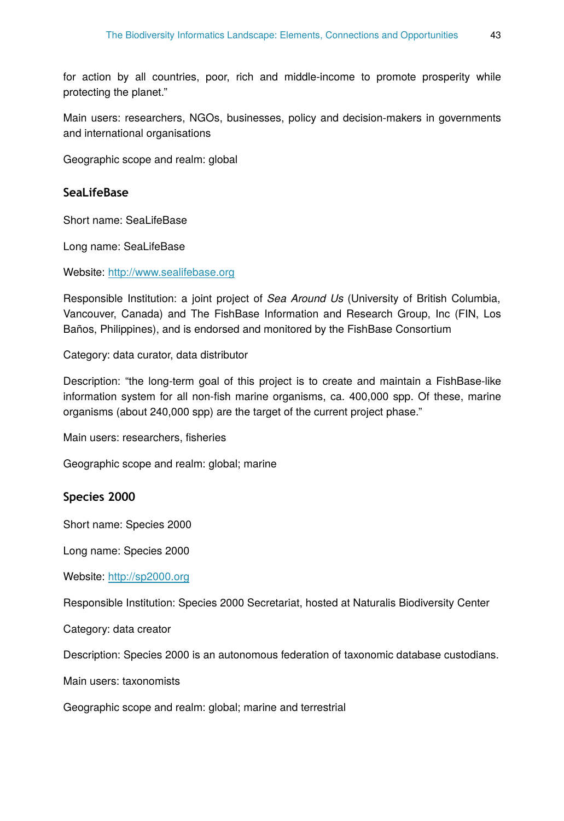for action by all countries, poor, rich and middle-income to promote prosperity while protecting the planet."

Main users: researchers, NGOs, businesses, policy and decision-makers in governments and international organisations

Geographic scope and realm: global

### **SeaLifeBase**

Short name: SeaLifeBase

Long name: SeaLifeBase

Website: <http://www.sealifebase.org>

Responsible Institution: a joint project of *Sea Around Us* (University of British Columbia, Vancouver, Canada) and The FishBase Information and Research Group, Inc (FIN, Los Baños, Philippines), and is endorsed and monitored by the FishBase Consortium

Category: data curator, data distributor

Description: "the long-term goal of this project is to create and maintain a FishBase-like information system for all non-fish marine organisms, ca. 400,000 spp. Of these, marine organisms (about 240,000 spp) are the target of the current project phase."

Main users: researchers, fisheries

Geographic scope and realm: global; marine

### **Species 2000**

Short name: Species 2000

Long name: Species 2000

Website: <http://sp2000.org>

Responsible Institution: Species 2000 Secretariat, hosted at Naturalis Biodiversity Center

Category: data creator

Description: Species 2000 is an autonomous federation of taxonomic database custodians.

Main users: taxonomists

Geographic scope and realm: global; marine and terrestrial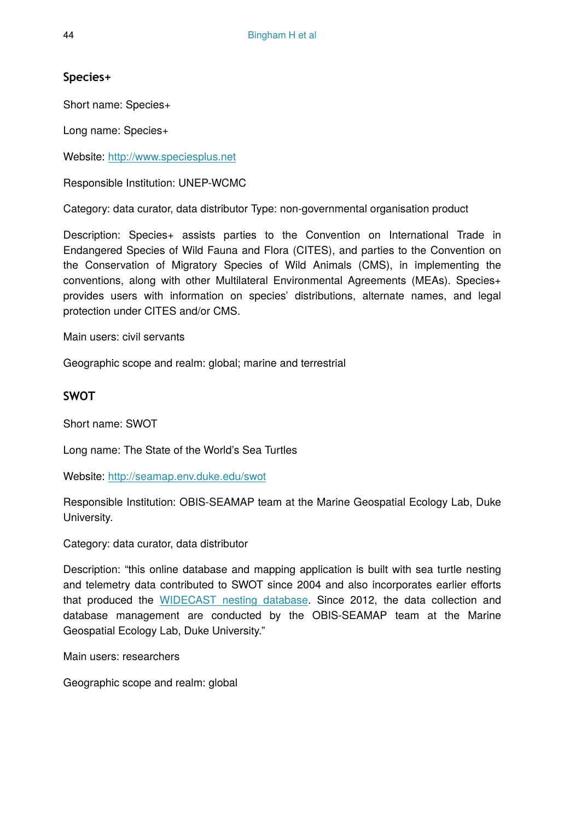# **Species+**

Short name: Species+

Long name: Species+

Website: <http://www.speciesplus.net>

Responsible Institution: UNEP-WCMC

Category: data curator, data distributor Type: non-governmental organisation product

Description: Species+ assists parties to the Convention on International Trade in Endangered Species of Wild Fauna and Flora (CITES), and parties to the Convention on the Conservation of Migratory Species of Wild Animals (CMS), in implementing the conventions, along with other Multilateral Environmental Agreements (MEAs). Species+ provides users with information on species' distributions, alternate names, and legal protection under CITES and/or CMS.

Main users: civil servants

Geographic scope and realm: global; marine and terrestrial

### **SWOT**

Short name: SWOT

Long name: The State of the World's Sea Turtles

Website: <http://seamap.env.duke.edu/swot>

Responsible Institution: OBIS-SEAMAP team at the Marine Geospatial Ecology Lab, Duke University.

Category: data curator, data distributor

Description: "this online database and mapping application is built with sea turtle nesting and telemetry data contributed to SWOT since 2004 and also incorporates earlier efforts that produced the [WIDECAST nesting database](http://seamap.env.duke.edu/widecast). Since 2012, the data collection and database management are conducted by the OBIS-SEAMAP team at the Marine Geospatial Ecology Lab, Duke University."

Main users: researchers

Geographic scope and realm: global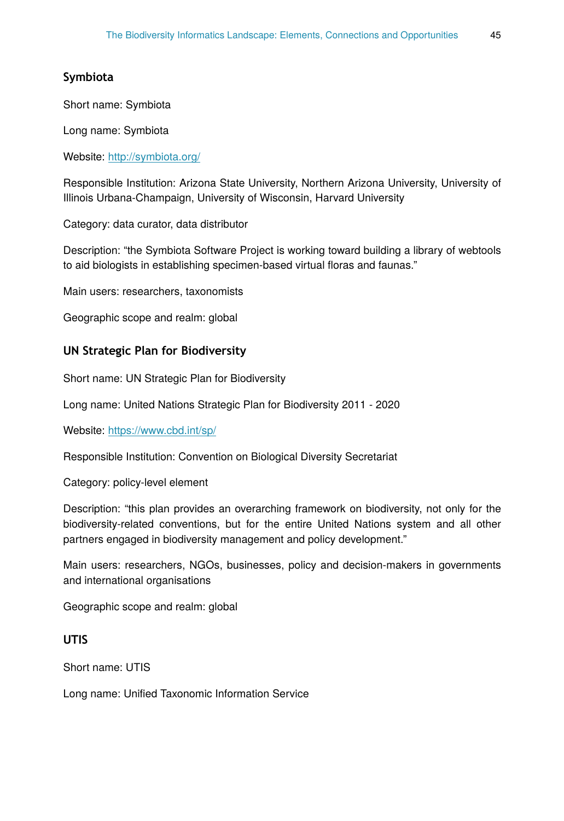# **Symbiota**

Short name: Symbiota

Long name: Symbiota

Website: <http://symbiota.org/>

Responsible Institution: Arizona State University, Northern Arizona University, University of Illinois Urbana-Champaign, University of Wisconsin, Harvard University

Category: data curator, data distributor

Description: "the Symbiota Software Project is working toward building a library of webtools to aid biologists in establishing specimen-based virtual floras and faunas."

Main users: researchers, taxonomists

Geographic scope and realm: global

### **UN Strategic Plan for Biodiversity**

Short name: UN Strategic Plan for Biodiversity

Long name: United Nations Strategic Plan for Biodiversity 2011 - 2020

Website: <https://www.cbd.int/sp/>

Responsible Institution: Convention on Biological Diversity Secretariat

Category: policy-level element

Description: "this plan provides an overarching framework on biodiversity, not only for the biodiversity-related conventions, but for the entire United Nations system and all other partners engaged in biodiversity management and policy development."

Main users: researchers, NGOs, businesses, policy and decision-makers in governments and international organisations

Geographic scope and realm: global

### **UTIS**

Short name: UTIS

Long name: Unified Taxonomic Information Service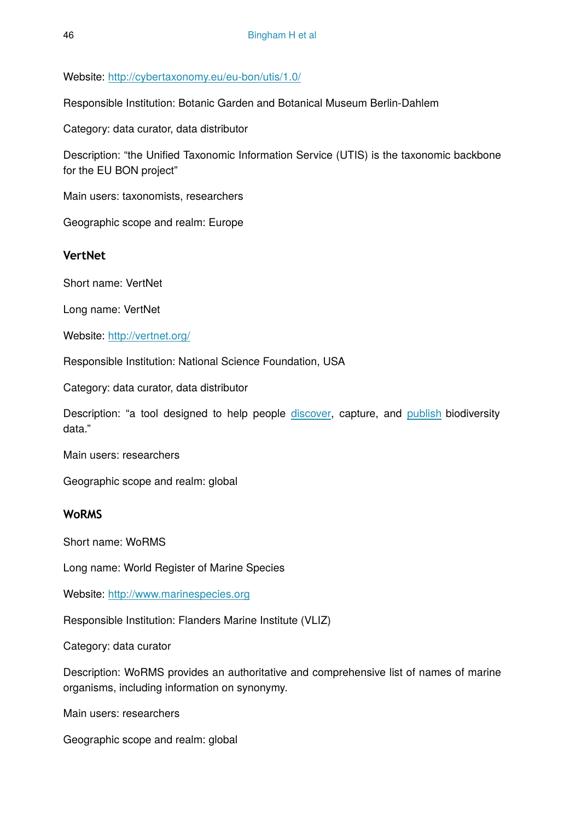Website: <http://cybertaxonomy.eu/eu-bon/utis/1.0/>

Responsible Institution: Botanic Garden and Botanical Museum Berlin-Dahlem

Category: data curator, data distributor

Description: "the Unified Taxonomic Information Service (UTIS) is the taxonomic backbone for the EU BON project"

Main users: taxonomists, researchers

Geographic scope and realm: Europe

# **VertNet**

Short name: VertNet

Long name: VertNet

Website: <http://vertnet.org/>

Responsible Institution: National Science Foundation, USA

Category: data curator, data distributor

Description: "a tool designed to help people [discover](http://portal.vertnet.org/search), capture, and [publish](http://vertnet.org/join/ipt.html) biodiversity data."

Main users: researchers

Geographic scope and realm: global

### **WoRMS**

Short name: WoRMS

Long name: World Register of Marine Species

Website: <http://www.marinespecies.org>

Responsible Institution: Flanders Marine Institute (VLIZ)

Category: data curator

Description: WoRMS provides an authoritative and comprehensive list of names of marine organisms, including information on synonymy.

Main users: researchers

Geographic scope and realm: global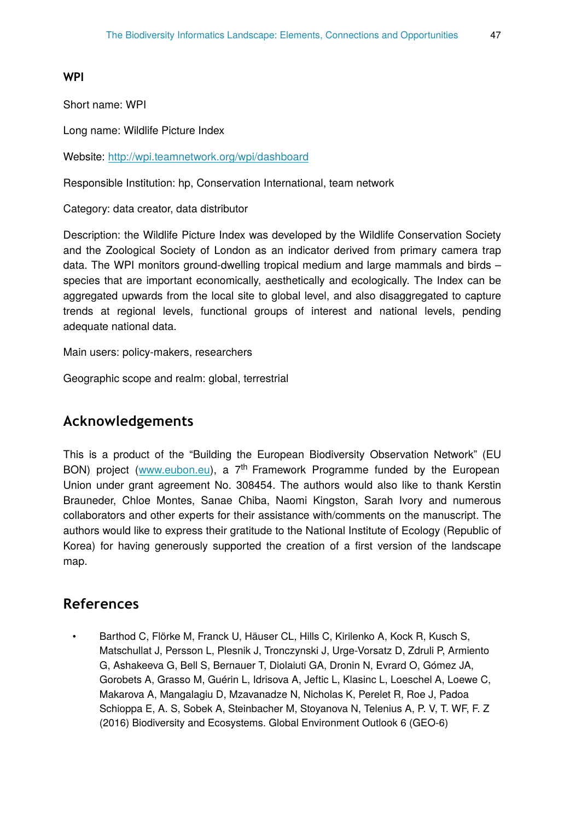### **WPI**

Short name: WPI

Long name: Wildlife Picture Index

Website: <http://wpi.teamnetwork.org/wpi/dashboard>

Responsible Institution: hp, Conservation International, team network

Category: data creator, data distributor

Description: the Wildlife Picture Index was developed by the Wildlife Conservation Society and the Zoological Society of London as an indicator derived from primary camera trap data. The WPI monitors ground-dwelling tropical medium and large mammals and birds – species that are important economically, aesthetically and ecologically. The Index can be aggregated upwards from the local site to global level, and also disaggregated to capture trends at regional levels, functional groups of interest and national levels, pending adequate national data.

Main users: policy-makers, researchers

Geographic scope and realm: global, terrestrial

# **Acknowledgements**

This is a product of the "Building the European Biodiversity Observation Network" (EU BON) project ([www.eubon.eu](http://www.eubon.eu)), a 7<sup>th</sup> Framework Programme funded by the European Union under grant agreement No. 308454. The authors would also like to thank Kerstin Brauneder, Chloe Montes, Sanae Chiba, Naomi Kingston, Sarah Ivory and numerous collaborators and other experts for their assistance with/comments on the manuscript. The authors would like to express their gratitude to the National Institute of Ecology (Republic of Korea) for having generously supported the creation of a first version of the landscape map.

# **References**

• Barthod C, Flörke M, Franck U, Häuser CL, Hills C, Kirilenko A, Kock R, Kusch S, Matschullat J, Persson L, Plesnik J, Tronczynski J, Urge-Vorsatz D, Zdruli P, Armiento G, Ashakeeva G, Bell S, Bernauer T, Diolaiuti GA, Dronin N, Evrard O, Gómez JA, Gorobets A, Grasso M, Guérin L, Idrisova A, Jeftic L, Klasinc L, Loeschel A, Loewe C, Makarova A, Mangalagiu D, Mzavanadze N, Nicholas K, Perelet R, Roe J, Padoa Schioppa E, A. S, Sobek A, Steinbacher M, Stoyanova N, Telenius A, P. V, T. WF, F. Z (2016) Biodiversity and Ecosystems. Global Environment Outlook 6 (GEO-6)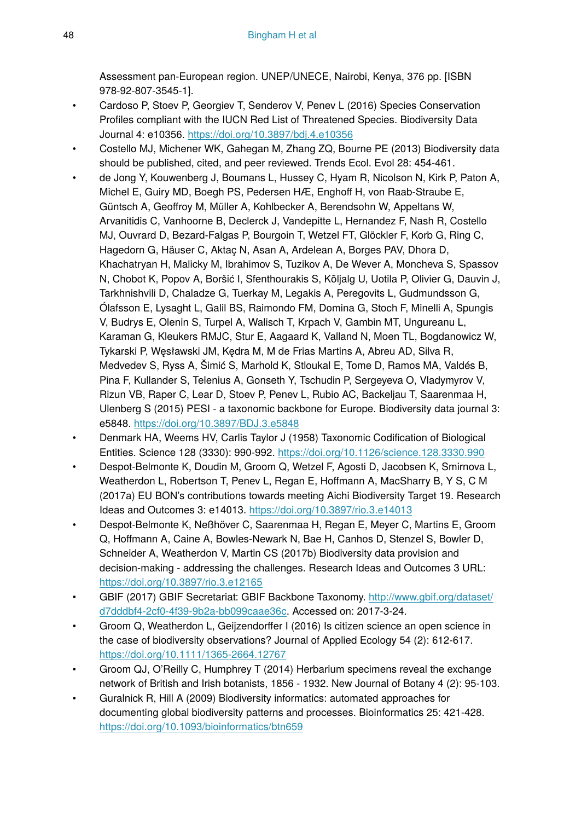Assessment pan-European region. UNEP/UNECE, Nairobi, Kenya, 376 pp. [ISBN 978-92-807-3545-1].

- Cardoso P, Stoev P, Georgiev T, Senderov V, Penev L (2016) Species Conservation Profiles compliant with the IUCN Red List of Threatened Species. Biodiversity Data Journal 4: e10356. <https://doi.org/10.3897/bdj.4.e10356>
- Costello MJ, Michener WK, Gahegan M, Zhang ZQ, Bourne PE (2013) Biodiversity data should be published, cited, and peer reviewed. Trends Ecol. Evol 28: 454‑461.
- de Jong Y, Kouwenberg J, Boumans L, Hussey C, Hyam R, Nicolson N, Kirk P, Paton A, Michel E, Guiry MD, Boegh PS, Pedersen HÆ, Enghoff H, von Raab-Straube E, Güntsch A, Geoffroy M, Müller A, Kohlbecker A, Berendsohn W, Appeltans W, Arvanitidis C, Vanhoorne B, Declerck J, Vandepitte L, Hernandez F, Nash R, Costello MJ, Ouvrard D, Bezard-Falgas P, Bourgoin T, Wetzel FT, Glöckler F, Korb G, Ring C, Hagedorn G, Häuser C, Aktaç N, Asan A, Ardelean A, Borges PAV, Dhora D, Khachatryan H, Malicky M, Ibrahimov S, Tuzikov A, De Wever A, Moncheva S, Spassov N, Chobot K, Popov A, Boršić I, Sfenthourakis S, Kõljalg U, Uotila P, Olivier G, Dauvin J, Tarkhnishvili D, Chaladze G, Tuerkay M, Legakis A, Peregovits L, Gudmundsson G, Ólafsson E, Lysaght L, Galil BS, Raimondo FM, Domina G, Stoch F, Minelli A, Spungis V, Budrys E, Olenin S, Turpel A, Walisch T, Krpach V, Gambin MT, Ungureanu L, Karaman G, Kleukers RMJC, Stur E, Aagaard K, Valland N, Moen TL, Bogdanowicz W, Tykarski P, Węsławski JM, Kędra M, M de Frias Martins A, Abreu AD, Silva R, Medvedev S, Ryss A, Šimić S, Marhold K, Stloukal E, Tome D, Ramos MA, Valdés B, Pina F, Kullander S, Telenius A, Gonseth Y, Tschudin P, Sergeyeva O, Vladymyrov V, Rizun VB, Raper C, Lear D, Stoev P, Penev L, Rubio AC, Backeljau T, Saarenmaa H, Ulenberg S (2015) PESI - a taxonomic backbone for Europe. Biodiversity data journal 3: e5848. <https://doi.org/10.3897/BDJ.3.e5848>
- Denmark HA, Weems HV, Carlis Taylor J (1958) Taxonomic Codification of Biological Entities. Science 128 (3330): 990‑992.<https://doi.org/10.1126/science.128.3330.990>
- Despot-Belmonte K, Doudin M, Groom Q, Wetzel F, Agosti D, Jacobsen K, Smirnova L, Weatherdon L, Robertson T, Penev L, Regan E, Hoffmann A, MacSharry B, Y S, C M (2017a) EU BON's contributions towards meeting Aichi Biodiversity Target 19. Research Ideas and Outcomes 3: e14013. <https://doi.org/10.3897/rio.3.e14013>
- Despot-Belmonte K, Neßhöver C, Saarenmaa H, Regan E, Meyer C, Martins E, Groom Q, Hoffmann A, Caine A, Bowles-Newark N, Bae H, Canhos D, Stenzel S, Bowler D, Schneider A, Weatherdon V, Martin CS (2017b) Biodiversity data provision and decision-making - addressing the challenges. Research Ideas and Outcomes 3 URL: <https://doi.org/10.3897/rio.3.e12165>
- GBIF (2017) GBIF Secretariat: GBIF Backbone Taxonomy. [http://www.gbif.org/dataset/](http://www.gbif.org/dataset/d7dddbf4-2cf0-4f39-9b2a-bb099caae36c) [d7dddbf4-2cf0-4f39-9b2a-bb099caae36c](http://www.gbif.org/dataset/d7dddbf4-2cf0-4f39-9b2a-bb099caae36c). Accessed on: 2017-3-24.
- Groom Q, Weatherdon L, Geijzendorffer I (2016) Is citizen science an open science in the case of biodiversity observations? Journal of Applied Ecology 54 (2): 612‑617. <https://doi.org/10.1111/1365-2664.12767>
- Groom QJ, O'Reilly C, Humphrey T (2014) Herbarium specimens reveal the exchange network of British and Irish botanists, 1856 - 1932. New Journal of Botany 4 (2): 95‑103.
- Guralnick R, Hill A (2009) Biodiversity informatics: automated approaches for documenting global biodiversity patterns and processes. Bioinformatics 25: 421‑428. <https://doi.org/10.1093/bioinformatics/btn659>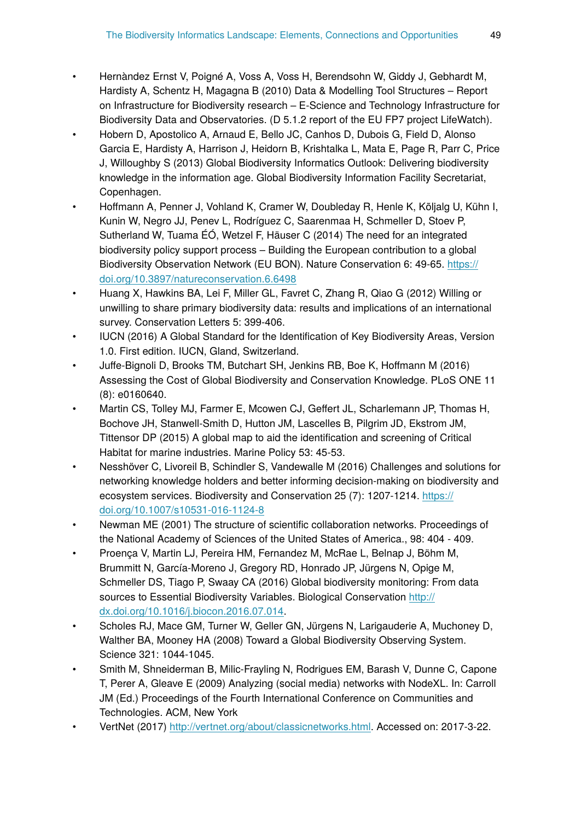- Hernàndez Ernst V, Poigné A, Voss A, Voss H, Berendsohn W, Giddy J, Gebhardt M, Hardisty A, Schentz H, Magagna B (2010) Data & Modelling Tool Structures – Report on Infrastructure for Biodiversity research – E-Science and Technology Infrastructure for Biodiversity Data and Observatories. (D 5.1.2 report of the EU FP7 project LifeWatch).
- Hobern D, Apostolico A, Arnaud E, Bello JC, Canhos D, Dubois G, Field D, Alonso Garcia E, Hardisty A, Harrison J, Heidorn B, Krishtalka L, Mata E, Page R, Parr C, Price J, Willoughby S (2013) Global Biodiversity Informatics Outlook: Delivering biodiversity knowledge in the information age. Global Biodiversity Information Facility Secretariat, Copenhagen.
- Hoffmann A, Penner J, Vohland K, Cramer W, Doubleday R, Henle K, Kõljalg U, Kühn I, Kunin W, Negro JJ, Penev L, Rodríguez C, Saarenmaa H, Schmeller D, Stoev P, Sutherland W, Tuama ÉÓ, Wetzel F, Häuser C (2014) The need for an integrated biodiversity policy support process – Building the European contribution to a global Biodiversity Observation Network (EU BON). Nature Conservation 6: 49‑65. [https://](https://doi.org/10.3897/natureconservation.6.6498) [doi.org/10.3897/natureconservation.6.6498](https://doi.org/10.3897/natureconservation.6.6498)
- Huang X, Hawkins BA, Lei F, Miller GL, Favret C, Zhang R, Qiao G (2012) Willing or unwilling to share primary biodiversity data: results and implications of an international survey. Conservation Letters 5: 399-406.
- IUCN (2016) A Global Standard for the Identification of Key Biodiversity Areas, Version 1.0. First edition. IUCN, Gland, Switzerland.
- Juffe-Bignoli D, Brooks TM, Butchart SH, Jenkins RB, Boe K, Hoffmann M (2016) Assessing the Cost of Global Biodiversity and Conservation Knowledge. PLoS ONE 11 (8): e0160640.
- Martin CS, Tolley MJ, Farmer E, Mcowen CJ, Geffert JL, Scharlemann JP, Thomas H, Bochove JH, Stanwell-Smith D, Hutton JM, Lascelles B, Pilgrim JD, Ekstrom JM, Tittensor DP (2015) A global map to aid the identification and screening of Critical Habitat for marine industries. Marine Policy 53: 45‑53.
- Nesshöver C, Livoreil B, Schindler S, Vandewalle M (2016) Challenges and solutions for networking knowledge holders and better informing decision-making on biodiversity and ecosystem services. Biodiversity and Conservation 25 (7): 1207-1214. [https://](https://doi.org/10.1007/s10531-016-1124-8) [doi.org/10.1007/s10531-016-1124-8](https://doi.org/10.1007/s10531-016-1124-8)
- Newman ME (2001) The structure of scientific collaboration networks. Proceedings of the National Academy of Sciences of the United States of America., 98: 404 - 409.
- Proença V, Martin LJ, Pereira HM, Fernandez M, McRae L, Belnap J, Böhm M, Brummitt N, García-Moreno J, Gregory RD, Honrado JP, Jürgens N, Opige M, Schmeller DS, Tiago P, Swaay CA (2016) Global biodiversity monitoring: From data sources to Essential Biodiversity Variables. Biological Conservation [http://](http://dx.doi.org/10.1016/j.biocon.2016.07.014) [dx.doi.org/10.1016/j.biocon.2016.07.014](http://dx.doi.org/10.1016/j.biocon.2016.07.014).
- Scholes RJ, Mace GM, Turner W, Geller GN, Jürgens N, Larigauderie A, Muchoney D, Walther BA, Mooney HA (2008) Toward a Global Biodiversity Observing System. Science 321: 1044‑1045.
- Smith M, Shneiderman B, Milic-Frayling N, Rodrigues EM, Barash V, Dunne C, Capone T, Perer A, Gleave E (2009) Analyzing (social media) networks with NodeXL. In: Carroll JM (Ed.) Proceedings of the Fourth International Conference on Communities and Technologies. ACM, New York
- VertNet (2017) <http://vertnet.org/about/classicnetworks.html>. Accessed on: 2017-3-22.